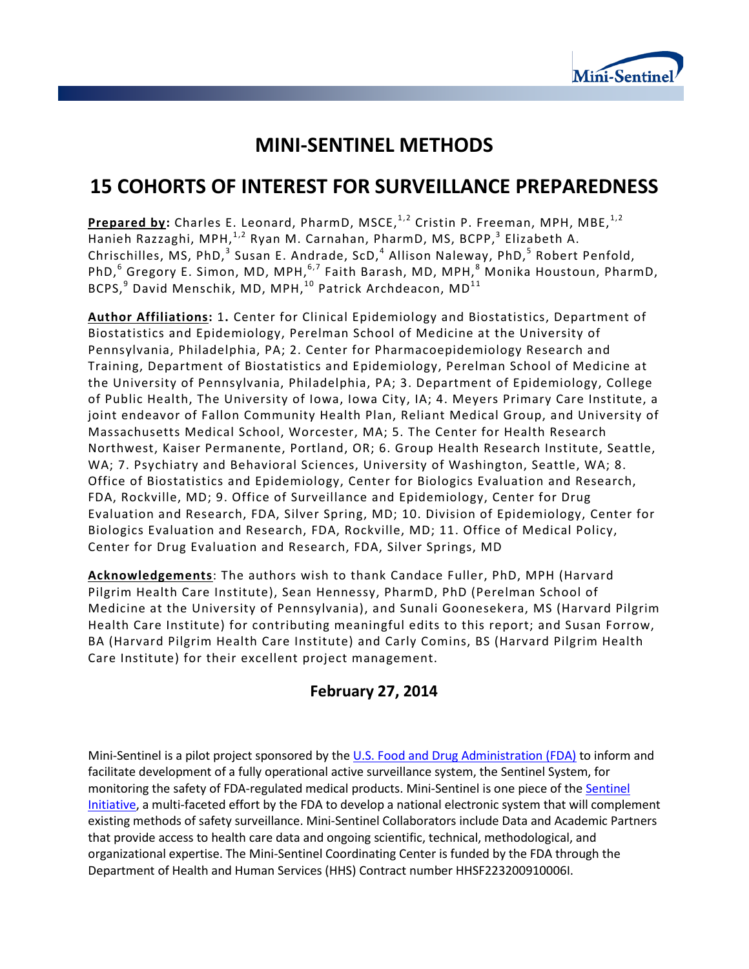

# **MINI-SENTINEL METHODS**

# **15 COHORTS OF INTEREST FOR SURVEILLANCE PREPAREDNESS**

**Prepared by:** Charles E. Leonard, PharmD, MSCE,<sup>1,2</sup> Cristin P. Freeman, MPH, MBE,<sup>1,2</sup> Hanieh Razzaghi, MPH,<sup>1,2</sup> Ryan M. Carnahan, PharmD, MS, BCPP,<sup>3</sup> Elizabeth A. Chrischilles, MS, PhD, $^3$  Susan E. Andrade, ScD, $^4$  Allison Naleway, PhD, $^5$  Robert Penfold, PhD,<sup>6</sup> Gregory E. Simon, MD, MPH,<sup>6,7</sup> Faith Barash, MD, MPH,<sup>8</sup> Monika Houstoun, PharmD, BCPS, $^9$  David Menschik, MD, MPH, $^{10}$  Patrick Archdeacon, MD $^{11}$ 

**Author Affiliations:** 1**.** Center for Clinical Epidemiology and Biostatistics, Department of Biostatistics and Epidemiology, Perelman School of Medicine at the University of Pennsylvania, Philadelphia, PA; 2. Center for Pharmacoepidemiology Research and Training, Department of Biostatistics and Epidemiology, Perelman School of Medicine at the University of Pennsylvania, Philadelphia, PA; 3. Department of Epidemiology, College of Public Health, The University of Iowa, Iowa City, IA; 4. Meyers Primary Care Institute, a joint endeavor of Fallon Community Health Plan, Reliant Medical Group, and University of Massachusetts Medical School, Worcester, MA; 5. The Center for Health Research Northwest, Kaiser Permanente, Portland, OR; 6. Group Health Research Institute, Seattle, WA; 7. Psychiatry and Behavioral Sciences, University of Washington, Seattle, WA; 8. Office of Biostatistics and Epidemiology, Center for Biologics Evaluation and Research, FDA, Rockville, MD; 9. Office of Surveillance and Epidemiology, Center for Drug Evaluation and Research, FDA, Silver Spring, MD; 10. Division of Epidemiology, Center for Biologics Evaluation and Research, FDA, Rockville, MD; 11. Office of Medical Policy, Center for Drug Evaluation and Research, FDA, Silver Springs, MD

**Acknowledgements**: The authors wish to thank Candace Fuller, PhD, MPH (Harvard Pilgrim Health Care Institute), Sean Hennessy, PharmD, PhD (Perelman School of Medicine at the University of Pennsylvania), and Sunali Goonesekera, MS (Harvard Pilgrim Health Care Institute) for contributing meaningful edits to this report; and Susan Forrow, BA (Harvard Pilgrim Health Care Institute) and Carly Comins, BS (Harvard Pilgrim Health Care Institute) for their excellent project management.

# **February 27, 2014**

Mini-Sentinel is a pilot project sponsored by th[e U.S. Food and Drug Administration \(FDA\)](http://www.fda.gov/Safety/FDAsSentinelInitiative/default.htm) to inform and facilitate development of a fully operational active surveillance system, the Sentinel System, for monitoring the safety of FDA-regulated medical products. Mini-Sentinel is one piece of the [Sentinel](http://www.fda.gov/Safety/FDAsSentinelInitiative/default.htm)  [Initiative,](http://www.fda.gov/Safety/FDAsSentinelInitiative/default.htm) a multi-faceted effort by the FDA to develop a national electronic system that will complement existing methods of safety surveillance. Mini-Sentinel Collaborators include Data and Academic Partners that provide access to health care data and ongoing scientific, technical, methodological, and organizational expertise. The Mini-Sentinel Coordinating Center is funded by the FDA through the Department of Health and Human Services (HHS) Contract number HHSF223200910006I.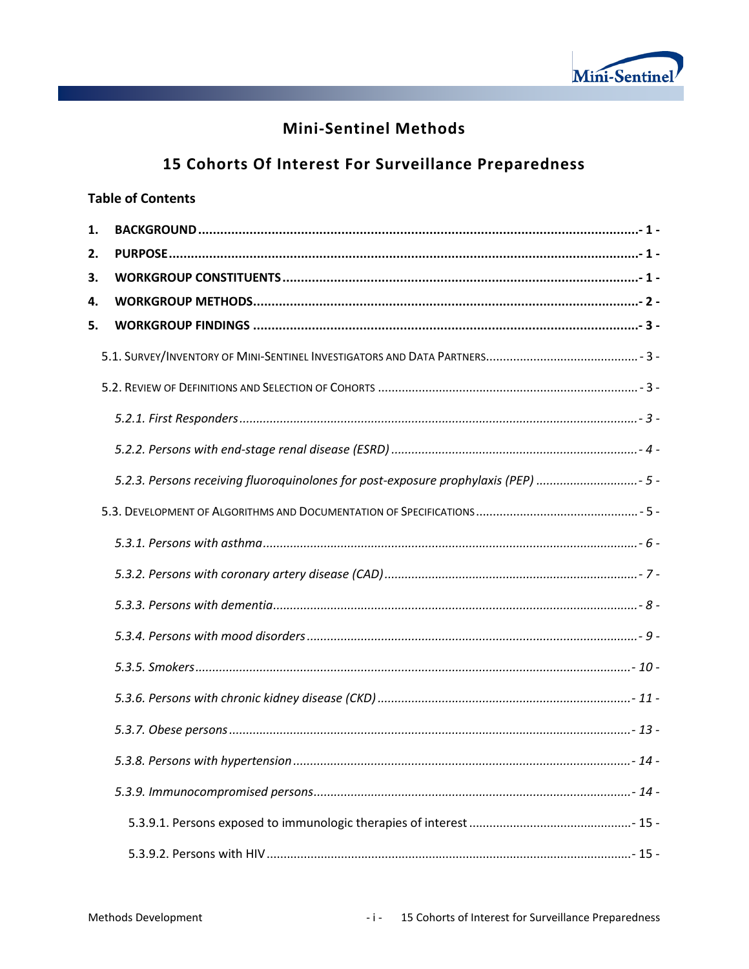

# **Mini-Sentinel Methods**

# 15 Cohorts Of Interest For Surveillance Preparedness

### **Table of Contents**

| 1. |                                                                                     |
|----|-------------------------------------------------------------------------------------|
| 2. |                                                                                     |
| 3. |                                                                                     |
| 4. |                                                                                     |
| 5. |                                                                                     |
|    |                                                                                     |
|    |                                                                                     |
|    |                                                                                     |
|    |                                                                                     |
|    | 5-2.3. Persons receiving fluoroquinolones for post-exposure prophylaxis (PEP)  - 5- |
|    |                                                                                     |
|    |                                                                                     |
|    |                                                                                     |
|    |                                                                                     |
|    |                                                                                     |
|    |                                                                                     |
|    |                                                                                     |
|    |                                                                                     |
|    |                                                                                     |
|    |                                                                                     |
|    |                                                                                     |
|    |                                                                                     |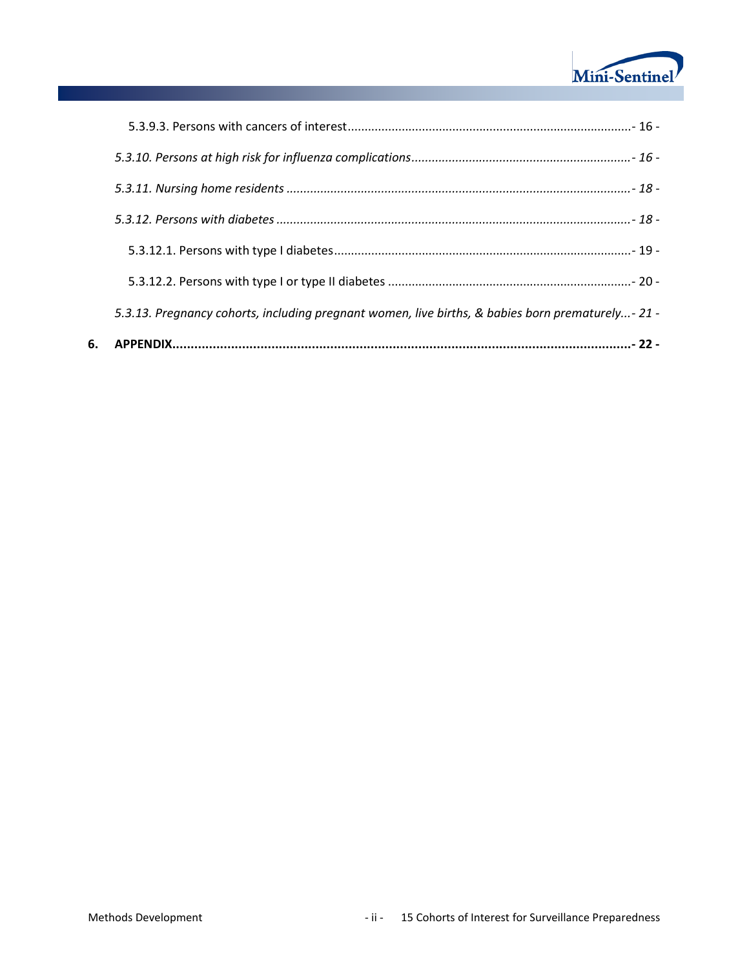

| 6. |                                                                                                  |
|----|--------------------------------------------------------------------------------------------------|
|    | 5.3.13. Pregnancy cohorts, including pregnant women, live births, & babies born prematurely-21 - |
|    |                                                                                                  |
|    |                                                                                                  |
|    |                                                                                                  |
|    |                                                                                                  |
|    |                                                                                                  |
|    |                                                                                                  |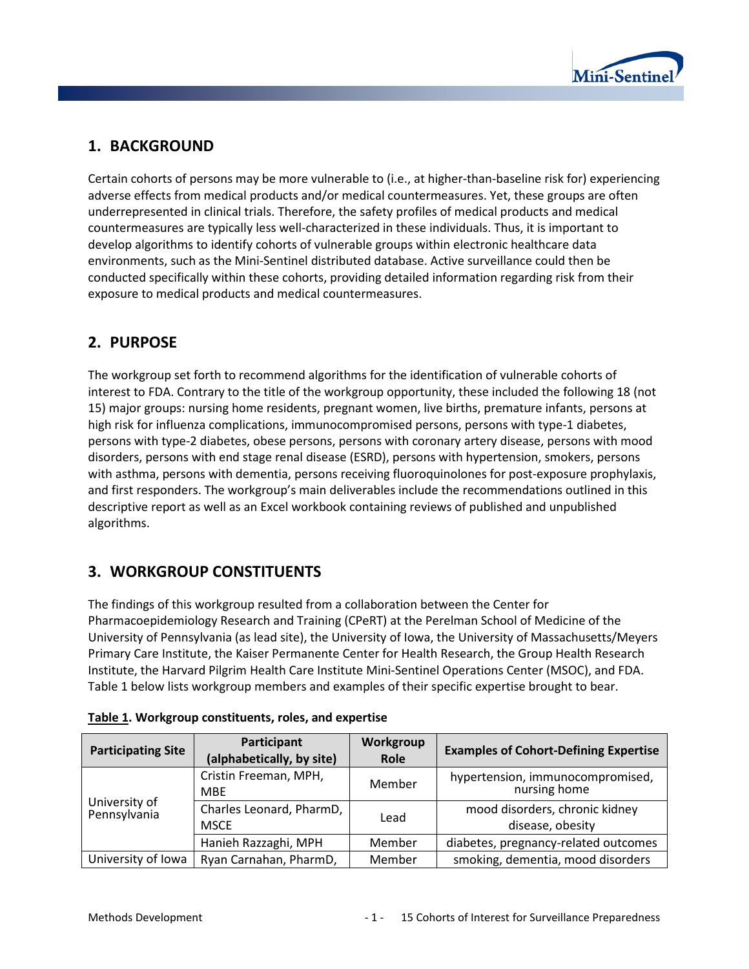

# **1. BACKGROUND**

Certain cohorts of persons may be more vulnerable to (i.e., at higher-than-baseline risk for) experiencing adverse effects from medical products and/or medical countermeasures. Yet, these groups are often underrepresented in clinical trials. Therefore, the safety profiles of medical products and medical countermeasures are typically less well-characterized in these individuals. Thus, it is important to develop algorithms to identify cohorts of vulnerable groups within electronic healthcare data environments, such as the Mini-Sentinel distributed database. Active surveillance could then be conducted specifically within these cohorts, providing detailed information regarding risk from their exposure to medical products and medical countermeasures.

## **2. PURPOSE**

The workgroup set forth to recommend algorithms for the identification of vulnerable cohorts of interest to FDA. Contrary to the title of the workgroup opportunity, these included the following 18 (not 15) major groups: nursing home residents, pregnant women, live births, premature infants, persons at high risk for influenza complications, immunocompromised persons, persons with type-1 diabetes, persons with type-2 diabetes, obese persons, persons with coronary artery disease, persons with mood disorders, persons with end stage renal disease (ESRD), persons with hypertension, smokers, persons with asthma, persons with dementia, persons receiving fluoroquinolones for post-exposure prophylaxis, and first responders. The workgroup's main deliverables include the recommendations outlined in this descriptive report as well as an Excel workbook containing reviews of published and unpublished algorithms.

# **3. WORKGROUP CONSTITUENTS**

The findings of this workgroup resulted from a collaboration between the Center for Pharmacoepidemiology Research and Training (CPeRT) at the Perelman School of Medicine of the University of Pennsylvania (as lead site), the University of Iowa, the University of Massachusetts/Meyers Primary Care Institute, the Kaiser Permanente Center for Health Research, the Group Health Research Institute, the Harvard Pilgrim Health Care Institute Mini-Sentinel Operations Center (MSOC), and FDA. Table 1 below lists workgroup members and examples of their specific expertise brought to bear.

| <b>Participating Site</b>     | Participant<br>(alphabetically, by site) | Workgroup<br>Role | <b>Examples of Cohort-Defining Expertise</b>       |  |
|-------------------------------|------------------------------------------|-------------------|----------------------------------------------------|--|
|                               | Cristin Freeman, MPH,<br><b>MBE</b>      | Member            | hypertension, immunocompromised,<br>nursing home   |  |
| University of<br>Pennsylvania | Charles Leonard, PharmD,<br><b>MSCE</b>  | Lead              | mood disorders, chronic kidney<br>disease, obesity |  |
|                               | Hanieh Razzaghi, MPH                     | Member            | diabetes, pregnancy-related outcomes               |  |
| University of Iowa            | Ryan Carnahan, PharmD,                   | Member            | smoking, dementia, mood disorders                  |  |

| Table 1. Workgroup constituents, roles, and expertise |  |  |  |
|-------------------------------------------------------|--|--|--|
|-------------------------------------------------------|--|--|--|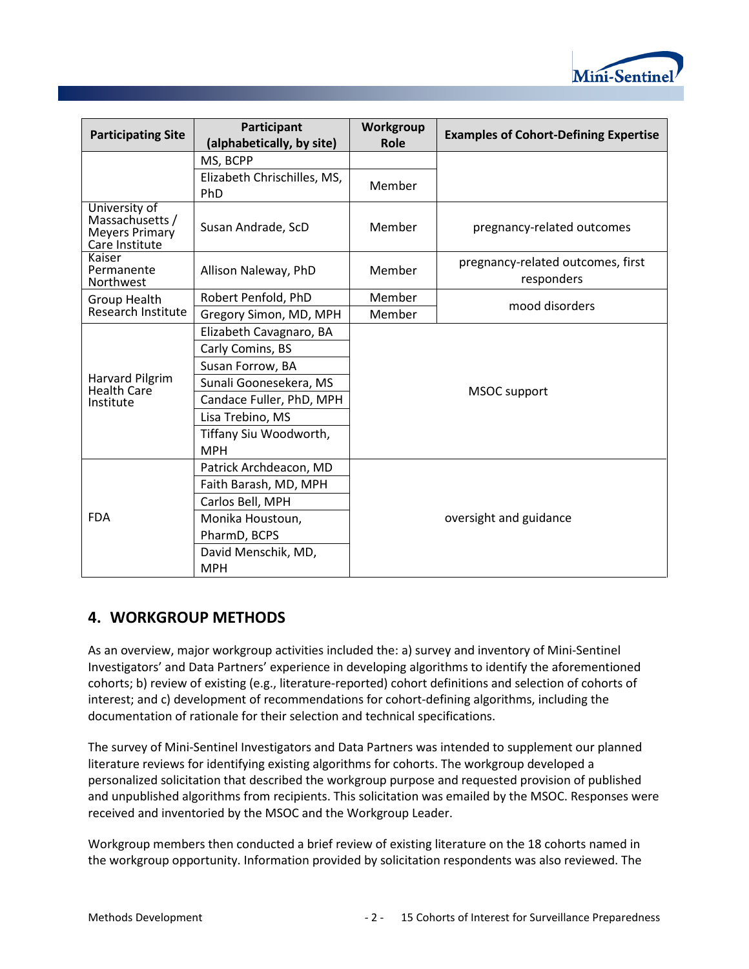

| <b>Participating Site</b>                                            | Participant<br>(alphabetically, by site)  | Workgroup<br>Role      | <b>Examples of Cohort-Defining Expertise</b>    |  |
|----------------------------------------------------------------------|-------------------------------------------|------------------------|-------------------------------------------------|--|
|                                                                      | MS, BCPP                                  |                        |                                                 |  |
|                                                                      | Elizabeth Chrischilles, MS,<br><b>PhD</b> | Member                 |                                                 |  |
| University of<br>Massachusetts /<br>Meyers Primary<br>Care Institute | Susan Andrade, ScD                        | Member                 | pregnancy-related outcomes                      |  |
| Kaiser<br>Permanente<br>Northwest                                    | Allison Naleway, PhD                      | Member                 | pregnancy-related outcomes, first<br>responders |  |
| <b>Group Health</b>                                                  | Robert Penfold, PhD                       | Member                 | mood disorders                                  |  |
| Research Institute                                                   | Gregory Simon, MD, MPH                    | Member                 |                                                 |  |
|                                                                      | Elizabeth Cavagnaro, BA                   |                        |                                                 |  |
|                                                                      | Carly Comins, BS                          |                        |                                                 |  |
|                                                                      | Susan Forrow, BA                          | <b>MSOC</b> support    |                                                 |  |
| Harvard Pilgrim<br>Health Care                                       | Sunali Goonesekera, MS                    |                        |                                                 |  |
| Institute                                                            | Candace Fuller, PhD, MPH                  |                        |                                                 |  |
|                                                                      | Lisa Trebino, MS                          |                        |                                                 |  |
|                                                                      | Tiffany Siu Woodworth,                    |                        |                                                 |  |
|                                                                      | <b>MPH</b>                                |                        |                                                 |  |
|                                                                      | Patrick Archdeacon, MD                    |                        |                                                 |  |
|                                                                      | Faith Barash, MD, MPH                     |                        |                                                 |  |
|                                                                      | Carlos Bell, MPH                          |                        |                                                 |  |
| <b>FDA</b>                                                           | Monika Houstoun,                          | oversight and guidance |                                                 |  |
|                                                                      | PharmD, BCPS                              |                        |                                                 |  |
|                                                                      | David Menschik, MD,                       |                        |                                                 |  |
|                                                                      | <b>MPH</b>                                |                        |                                                 |  |

### **4. WORKGROUP METHODS**

As an overview, major workgroup activities included the: a) survey and inventory of Mini-Sentinel Investigators' and Data Partners' experience in developing algorithms to identify the aforementioned cohorts; b) review of existing (e.g., literature-reported) cohort definitions and selection of cohorts of interest; and c) development of recommendations for cohort-defining algorithms, including the documentation of rationale for their selection and technical specifications.

The survey of Mini-Sentinel Investigators and Data Partners was intended to supplement our planned literature reviews for identifying existing algorithms for cohorts. The workgroup developed a personalized solicitation that described the workgroup purpose and requested provision of published and unpublished algorithms from recipients. This solicitation was emailed by the MSOC. Responses were received and inventoried by the MSOC and the Workgroup Leader.

Workgroup members then conducted a brief review of existing literature on the 18 cohorts named in the workgroup opportunity. Information provided by solicitation respondents was also reviewed. The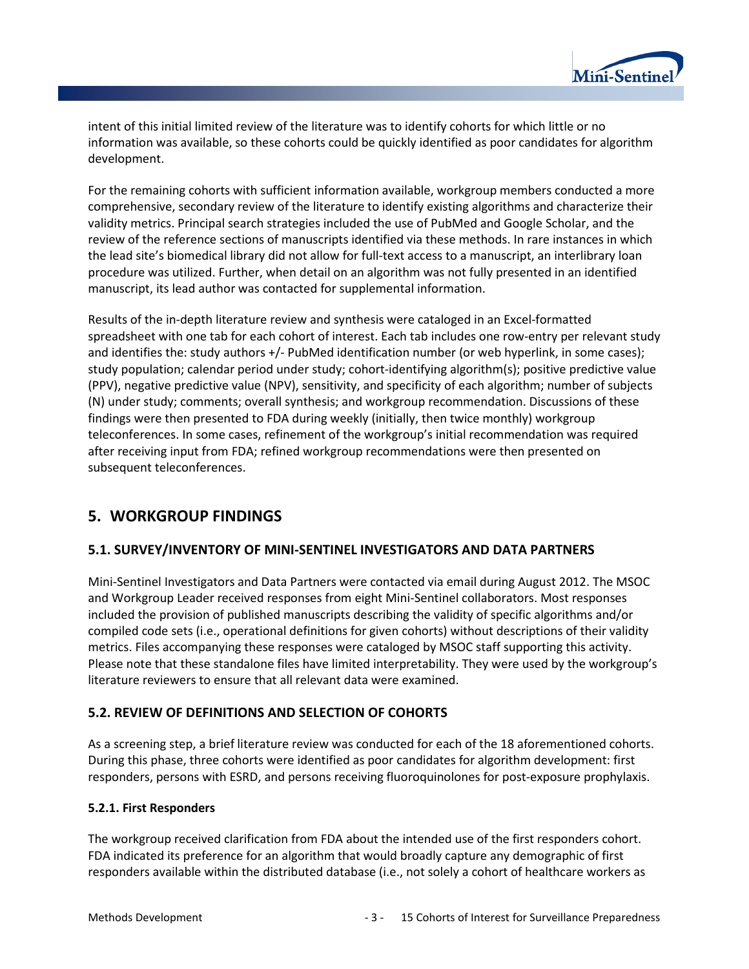

intent of this initial limited review of the literature was to identify cohorts for which little or no information was available, so these cohorts could be quickly identified as poor candidates for algorithm development.

For the remaining cohorts with sufficient information available, workgroup members conducted a more comprehensive, secondary review of the literature to identify existing algorithms and characterize their validity metrics. Principal search strategies included the use of PubMed and Google Scholar, and the review of the reference sections of manuscripts identified via these methods. In rare instances in which the lead site's biomedical library did not allow for full-text access to a manuscript, an interlibrary loan procedure was utilized. Further, when detail on an algorithm was not fully presented in an identified manuscript, its lead author was contacted for supplemental information.

Results of the in-depth literature review and synthesis were cataloged in an Excel-formatted spreadsheet with one tab for each cohort of interest. Each tab includes one row-entry per relevant study and identifies the: study authors +/- PubMed identification number (or web hyperlink, in some cases); study population; calendar period under study; cohort-identifying algorithm(s); positive predictive value (PPV), negative predictive value (NPV), sensitivity, and specificity of each algorithm; number of subjects (N) under study; comments; overall synthesis; and workgroup recommendation. Discussions of these findings were then presented to FDA during weekly (initially, then twice monthly) workgroup teleconferences. In some cases, refinement of the workgroup's initial recommendation was required after receiving input from FDA; refined workgroup recommendations were then presented on subsequent teleconferences.

### **5. WORKGROUP FINDINGS**

#### **5.1. SURVEY/INVENTORY OF MINI-SENTINEL INVESTIGATORS AND DATA PARTNERS**

Mini-Sentinel Investigators and Data Partners were contacted via email during August 2012. The MSOC and Workgroup Leader received responses from eight Mini-Sentinel collaborators. Most responses included the provision of published manuscripts describing the validity of specific algorithms and/or compiled code sets (i.e., operational definitions for given cohorts) without descriptions of their validity metrics. Files accompanying these responses were cataloged by MSOC staff supporting this activity. Please note that these standalone files have limited interpretability. They were used by the workgroup's literature reviewers to ensure that all relevant data were examined.

### **5.2. REVIEW OF DEFINITIONS AND SELECTION OF COHORTS**

As a screening step, a brief literature review was conducted for each of the 18 aforementioned cohorts. During this phase, three cohorts were identified as poor candidates for algorithm development: first responders, persons with ESRD, and persons receiving fluoroquinolones for post-exposure prophylaxis.

#### **5.2.1. First Responders**

The workgroup received clarification from FDA about the intended use of the first responders cohort. FDA indicated its preference for an algorithm that would broadly capture any demographic of first responders available within the distributed database (i.e., not solely a cohort of healthcare workers as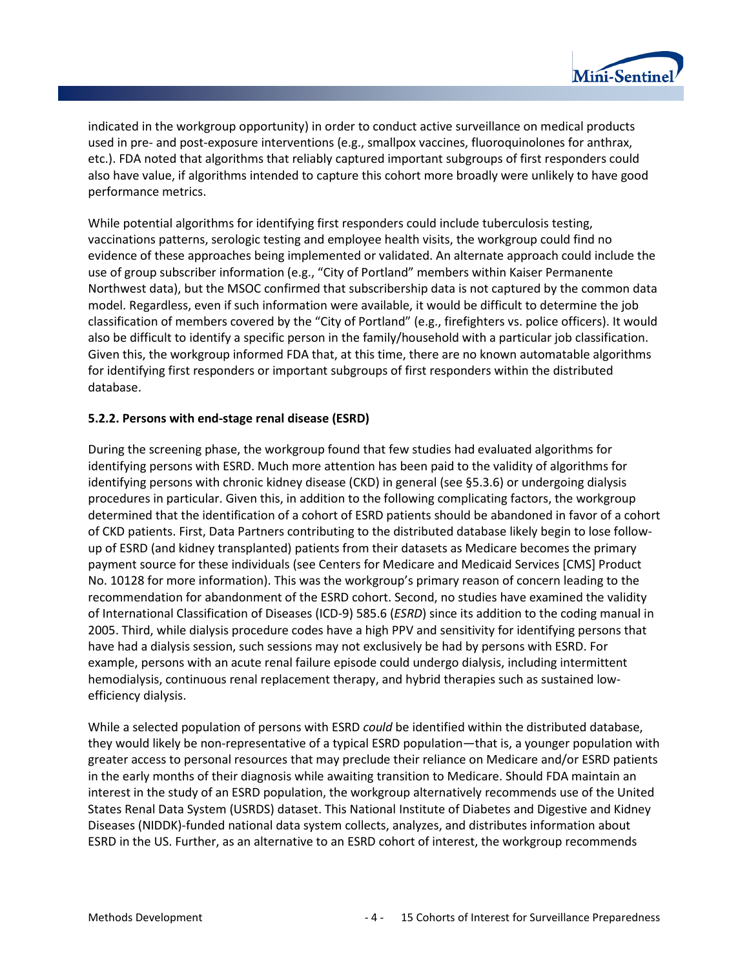

indicated in the workgroup opportunity) in order to conduct active surveillance on medical products used in pre- and post-exposure interventions (e.g., smallpox vaccines, fluoroquinolones for anthrax, etc.). FDA noted that algorithms that reliably captured important subgroups of first responders could also have value, if algorithms intended to capture this cohort more broadly were unlikely to have good performance metrics.

While potential algorithms for identifying first responders could include tuberculosis testing, vaccinations patterns, serologic testing and employee health visits, the workgroup could find no evidence of these approaches being implemented or validated. An alternate approach could include the use of group subscriber information (e.g., "City of Portland" members within Kaiser Permanente Northwest data), but the MSOC confirmed that subscribership data is not captured by the common data model. Regardless, even if such information were available, it would be difficult to determine the job classification of members covered by the "City of Portland" (e.g., firefighters vs. police officers). It would also be difficult to identify a specific person in the family/household with a particular job classification. Given this, the workgroup informed FDA that, at this time, there are no known automatable algorithms for identifying first responders or important subgroups of first responders within the distributed database.

#### **5.2.2. Persons with end-stage renal disease (ESRD)**

During the screening phase, the workgroup found that few studies had evaluated algorithms for identifying persons with ESRD. Much more attention has been paid to the validity of algorithms for identifying persons with chronic kidney disease (CKD) in general (see §5.3.6) or undergoing dialysis procedures in particular. Given this, in addition to the following complicating factors, the workgroup determined that the identification of a cohort of ESRD patients should be abandoned in favor of a cohort of CKD patients. First, Data Partners contributing to the distributed database likely begin to lose followup of ESRD (and kidney transplanted) patients from their datasets as Medicare becomes the primary payment source for these individuals (see Centers for Medicare and Medicaid Services [CMS] Product No. 10128 for more information). This was the workgroup's primary reason of concern leading to the recommendation for abandonment of the ESRD cohort. Second, no studies have examined the validity of International Classification of Diseases (ICD-9) 585.6 (*ESRD*) since its addition to the coding manual in 2005. Third, while dialysis procedure codes have a high PPV and sensitivity for identifying persons that have had a dialysis session, such sessions may not exclusively be had by persons with ESRD. For example, persons with an acute renal failure episode could undergo dialysis, including intermittent hemodialysis, continuous renal replacement therapy, and hybrid therapies such as sustained lowefficiency dialysis.

While a selected population of persons with ESRD *could* be identified within the distributed database, they would likely be non-representative of a typical ESRD population—that is, a younger population with greater access to personal resources that may preclude their reliance on Medicare and/or ESRD patients in the early months of their diagnosis while awaiting transition to Medicare. Should FDA maintain an interest in the study of an ESRD population, the workgroup alternatively recommends use of the United States Renal Data System (USRDS) dataset. This National Institute of Diabetes and Digestive and Kidney Diseases (NIDDK)-funded national data system collects, analyzes, and distributes information about ESRD in the US. Further, as an alternative to an ESRD cohort of interest, the workgroup recommends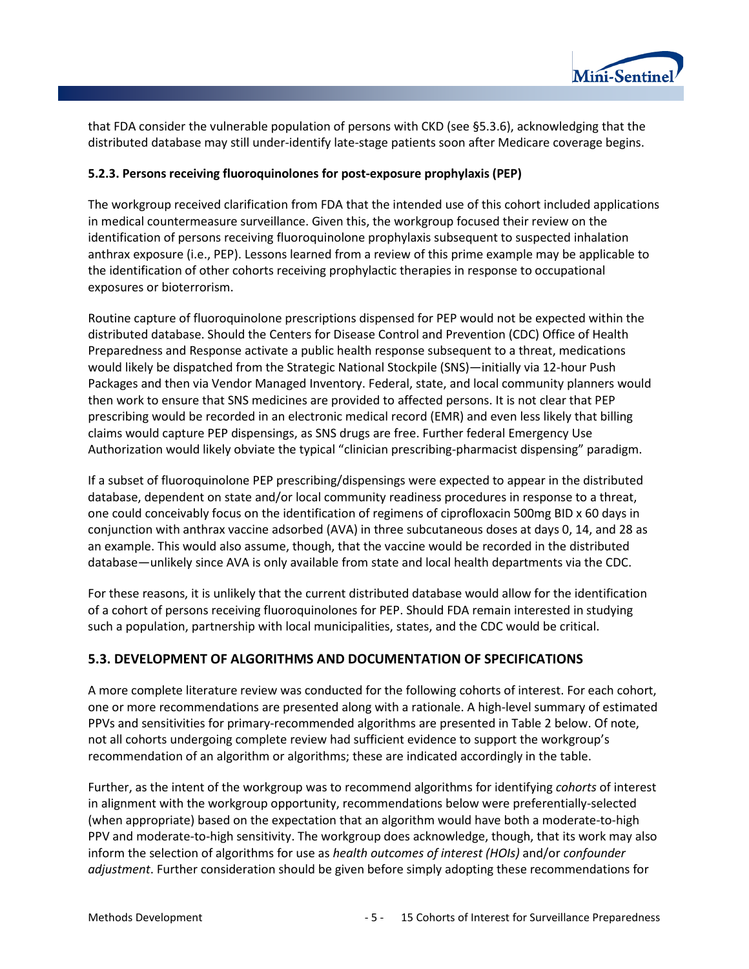

that FDA consider the vulnerable population of persons with CKD (see §5.3.6), acknowledging that the distributed database may still under-identify late-stage patients soon after Medicare coverage begins.

#### **5.2.3. Persons receiving fluoroquinolones for post-exposure prophylaxis (PEP)**

The workgroup received clarification from FDA that the intended use of this cohort included applications in medical countermeasure surveillance. Given this, the workgroup focused their review on the identification of persons receiving fluoroquinolone prophylaxis subsequent to suspected inhalation anthrax exposure (i.e., PEP). Lessons learned from a review of this prime example may be applicable to the identification of other cohorts receiving prophylactic therapies in response to occupational exposures or bioterrorism.

Routine capture of fluoroquinolone prescriptions dispensed for PEP would not be expected within the distributed database. Should the Centers for Disease Control and Prevention (CDC) Office of Health Preparedness and Response activate a public health response subsequent to a threat, medications would likely be dispatched from the Strategic National Stockpile (SNS)—initially via 12-hour Push Packages and then via Vendor Managed Inventory. Federal, state, and local community planners would then work to ensure that SNS medicines are provided to affected persons. It is not clear that PEP prescribing would be recorded in an electronic medical record (EMR) and even less likely that billing claims would capture PEP dispensings, as SNS drugs are free. Further federal Emergency Use Authorization would likely obviate the typical "clinician prescribing-pharmacist dispensing" paradigm.

If a subset of fluoroquinolone PEP prescribing/dispensings were expected to appear in the distributed database, dependent on state and/or local community readiness procedures in response to a threat, one could conceivably focus on the identification of regimens of ciprofloxacin 500mg BID x 60 days in conjunction with anthrax vaccine adsorbed (AVA) in three subcutaneous doses at days 0, 14, and 28 as an example. This would also assume, though, that the vaccine would be recorded in the distributed database—unlikely since AVA is only available from state and local health departments via the CDC.

For these reasons, it is unlikely that the current distributed database would allow for the identification of a cohort of persons receiving fluoroquinolones for PEP. Should FDA remain interested in studying such a population, partnership with local municipalities, states, and the CDC would be critical.

### **5.3. DEVELOPMENT OF ALGORITHMS AND DOCUMENTATION OF SPECIFICATIONS**

A more complete literature review was conducted for the following cohorts of interest. For each cohort, one or more recommendations are presented along with a rationale. A high-level summary of estimated PPVs and sensitivities for primary-recommended algorithms are presented in Table 2 below. Of note, not all cohorts undergoing complete review had sufficient evidence to support the workgroup's recommendation of an algorithm or algorithms; these are indicated accordingly in the table.

Further, as the intent of the workgroup was to recommend algorithms for identifying *cohorts* of interest in alignment with the workgroup opportunity, recommendations below were preferentially-selected (when appropriate) based on the expectation that an algorithm would have both a moderate-to-high PPV and moderate-to-high sensitivity. The workgroup does acknowledge, though, that its work may also inform the selection of algorithms for use as *health outcomes of interest (HOIs)* and/or *confounder adjustment*. Further consideration should be given before simply adopting these recommendations for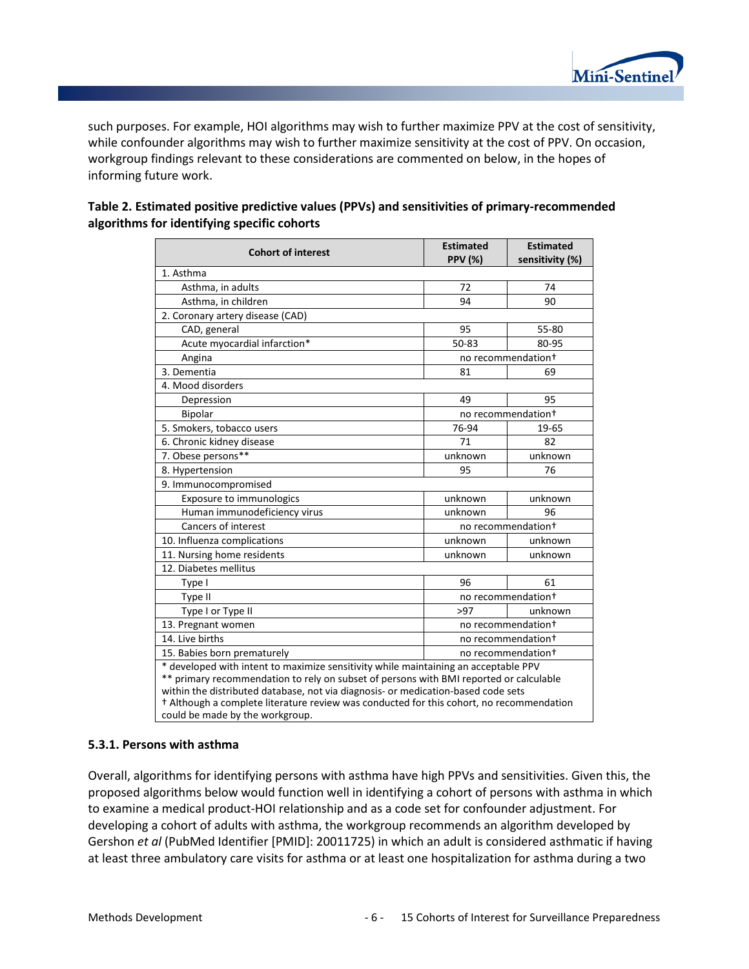

such purposes. For example, HOI algorithms may wish to further maximize PPV at the cost of sensitivity, while confounder algorithms may wish to further maximize sensitivity at the cost of PPV. On occasion, workgroup findings relevant to these considerations are commented on below, in the hopes of informing future work.

| <b>Cohort of interest</b>                                                                                                                                                                                                                                                                                                                                                                         | <b>Estimated</b><br><b>PPV (%)</b> | <b>Estimated</b><br>sensitivity (%) |
|---------------------------------------------------------------------------------------------------------------------------------------------------------------------------------------------------------------------------------------------------------------------------------------------------------------------------------------------------------------------------------------------------|------------------------------------|-------------------------------------|
| 1. Asthma                                                                                                                                                                                                                                                                                                                                                                                         |                                    |                                     |
| Asthma, in adults                                                                                                                                                                                                                                                                                                                                                                                 | 72                                 | 74                                  |
| Asthma, in children                                                                                                                                                                                                                                                                                                                                                                               | 94                                 | 90                                  |
| 2. Coronary artery disease (CAD)                                                                                                                                                                                                                                                                                                                                                                  |                                    |                                     |
| CAD, general                                                                                                                                                                                                                                                                                                                                                                                      | 95                                 | 55-80                               |
| Acute myocardial infarction*                                                                                                                                                                                                                                                                                                                                                                      | 50-83                              | 80-95                               |
| Angina                                                                                                                                                                                                                                                                                                                                                                                            |                                    | no recommendation <sup>+</sup>      |
| 3. Dementia                                                                                                                                                                                                                                                                                                                                                                                       | 81                                 | 69                                  |
| 4. Mood disorders                                                                                                                                                                                                                                                                                                                                                                                 |                                    |                                     |
| Depression                                                                                                                                                                                                                                                                                                                                                                                        | 49                                 | 95                                  |
| Bipolar                                                                                                                                                                                                                                                                                                                                                                                           |                                    | no recommendation+                  |
| 5. Smokers, tobacco users                                                                                                                                                                                                                                                                                                                                                                         | 76-94                              | 19-65                               |
| 6. Chronic kidney disease                                                                                                                                                                                                                                                                                                                                                                         | 71                                 | 82                                  |
| 7. Obese persons**                                                                                                                                                                                                                                                                                                                                                                                | unknown                            | unknown                             |
| 8. Hypertension                                                                                                                                                                                                                                                                                                                                                                                   | 95                                 | 76                                  |
| 9. Immunocompromised                                                                                                                                                                                                                                                                                                                                                                              |                                    |                                     |
| Exposure to immunologics                                                                                                                                                                                                                                                                                                                                                                          | unknown                            | unknown                             |
| Human immunodeficiency virus                                                                                                                                                                                                                                                                                                                                                                      | unknown                            | 96                                  |
| Cancers of interest                                                                                                                                                                                                                                                                                                                                                                               |                                    | no recommendation+                  |
| 10. Influenza complications                                                                                                                                                                                                                                                                                                                                                                       | unknown                            | unknown                             |
| 11. Nursing home residents                                                                                                                                                                                                                                                                                                                                                                        | unknown                            | unknown                             |
| 12. Diabetes mellitus                                                                                                                                                                                                                                                                                                                                                                             |                                    |                                     |
| Type I                                                                                                                                                                                                                                                                                                                                                                                            | 96                                 | 61                                  |
| Type II                                                                                                                                                                                                                                                                                                                                                                                           |                                    | no recommendation+                  |
| Type I or Type II                                                                                                                                                                                                                                                                                                                                                                                 | >97                                | unknown                             |
| 13. Pregnant women                                                                                                                                                                                                                                                                                                                                                                                |                                    | no recommendation+                  |
| 14. Live births                                                                                                                                                                                                                                                                                                                                                                                   |                                    | no recommendation+                  |
| 15. Babies born prematurely<br>no recommendation <sup>+</sup>                                                                                                                                                                                                                                                                                                                                     |                                    |                                     |
| * developed with intent to maximize sensitivity while maintaining an acceptable PPV<br>** primary recommendation to rely on subset of persons with BMI reported or calculable<br>within the distributed database, not via diagnosis- or medication-based code sets<br>+ Although a complete literature review was conducted for this cohort, no recommendation<br>could be made by the workgroup. |                                    |                                     |

| Table 2. Estimated positive predictive values (PPVs) and sensitivities of primary-recommended |
|-----------------------------------------------------------------------------------------------|
| algorithms for identifying specific cohorts                                                   |

#### **5.3.1. Persons with asthma**

Overall, algorithms for identifying persons with asthma have high PPVs and sensitivities. Given this, the proposed algorithms below would function well in identifying a cohort of persons with asthma in which to examine a medical product-HOI relationship and as a code set for confounder adjustment. For developing a cohort of adults with asthma, the workgroup recommends an algorithm developed by Gershon *et al* (PubMed Identifier [PMID]: 20011725) in which an adult is considered asthmatic if having at least three ambulatory care visits for asthma or at least one hospitalization for asthma during a two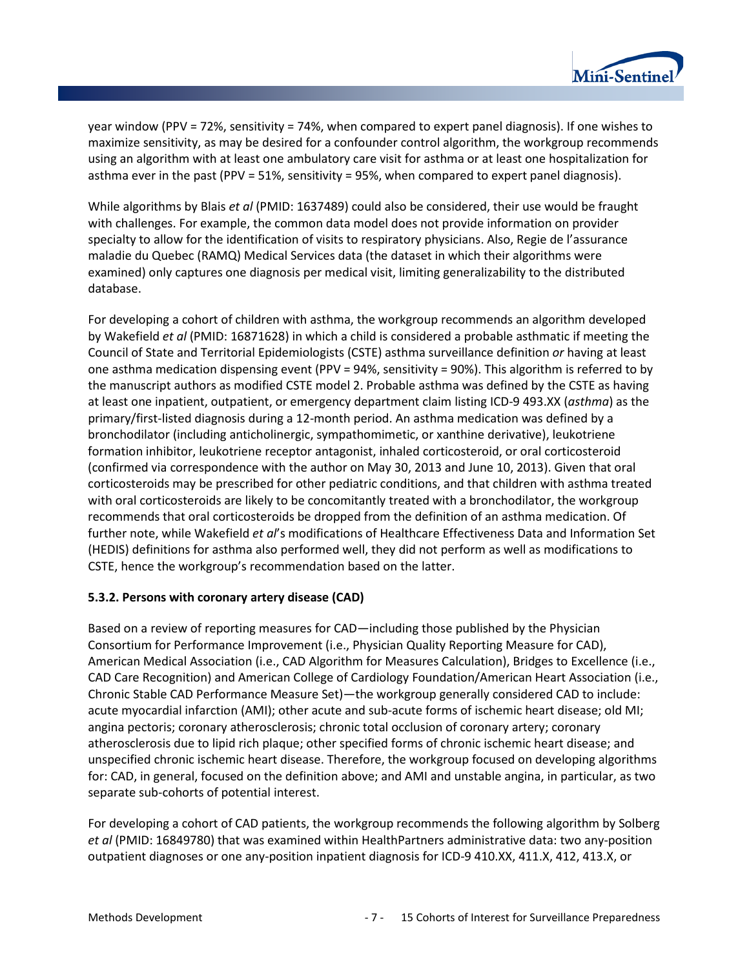

year window (PPV = 72%, sensitivity = 74%, when compared to expert panel diagnosis). If one wishes to maximize sensitivity, as may be desired for a confounder control algorithm, the workgroup recommends using an algorithm with at least one ambulatory care visit for asthma or at least one hospitalization for asthma ever in the past (PPV = 51%, sensitivity = 95%, when compared to expert panel diagnosis).

While algorithms by Blais *et al* (PMID: 1637489) could also be considered, their use would be fraught with challenges. For example, the common data model does not provide information on provider specialty to allow for the identification of visits to respiratory physicians. Also, Regie de l'assurance maladie du Quebec (RAMQ) Medical Services data (the dataset in which their algorithms were examined) only captures one diagnosis per medical visit, limiting generalizability to the distributed database.

For developing a cohort of children with asthma, the workgroup recommends an algorithm developed by Wakefield *et al* (PMID: 16871628) in which a child is considered a probable asthmatic if meeting the Council of State and Territorial Epidemiologists (CSTE) asthma surveillance definition *or* having at least one asthma medication dispensing event (PPV = 94%, sensitivity = 90%). This algorithm is referred to by the manuscript authors as modified CSTE model 2. Probable asthma was defined by the CSTE as having at least one inpatient, outpatient, or emergency department claim listing ICD-9 493.XX (*asthma*) as the primary/first-listed diagnosis during a 12-month period. An asthma medication was defined by a bronchodilator (including anticholinergic, sympathomimetic, or xanthine derivative), leukotriene formation inhibitor, leukotriene receptor antagonist, inhaled corticosteroid, or oral corticosteroid (confirmed via correspondence with the author on May 30, 2013 and June 10, 2013). Given that oral corticosteroids may be prescribed for other pediatric conditions, and that children with asthma treated with oral corticosteroids are likely to be concomitantly treated with a bronchodilator, the workgroup recommends that oral corticosteroids be dropped from the definition of an asthma medication. Of further note, while Wakefield *et al*'s modifications of Healthcare Effectiveness Data and Information Set (HEDIS) definitions for asthma also performed well, they did not perform as well as modifications to CSTE, hence the workgroup's recommendation based on the latter.

#### **5.3.2. Persons with coronary artery disease (CAD)**

Based on a review of reporting measures for CAD—including those published by the Physician Consortium for Performance Improvement (i.e., Physician Quality Reporting Measure for CAD), American Medical Association (i.e., CAD Algorithm for Measures Calculation), Bridges to Excellence (i.e., CAD Care Recognition) and American College of Cardiology Foundation/American Heart Association (i.e., Chronic Stable CAD Performance Measure Set)—the workgroup generally considered CAD to include: acute myocardial infarction (AMI); other acute and sub-acute forms of ischemic heart disease; old MI; angina pectoris; coronary atherosclerosis; chronic total occlusion of coronary artery; coronary atherosclerosis due to lipid rich plaque; other specified forms of chronic ischemic heart disease; and unspecified chronic ischemic heart disease. Therefore, the workgroup focused on developing algorithms for: CAD, in general, focused on the definition above; and AMI and unstable angina, in particular, as two separate sub-cohorts of potential interest.

For developing a cohort of CAD patients, the workgroup recommends the following algorithm by Solberg *et al* (PMID: 16849780) that was examined within HealthPartners administrative data: two any-position outpatient diagnoses or one any-position inpatient diagnosis for ICD-9 410.XX, 411.X, 412, 413.X, or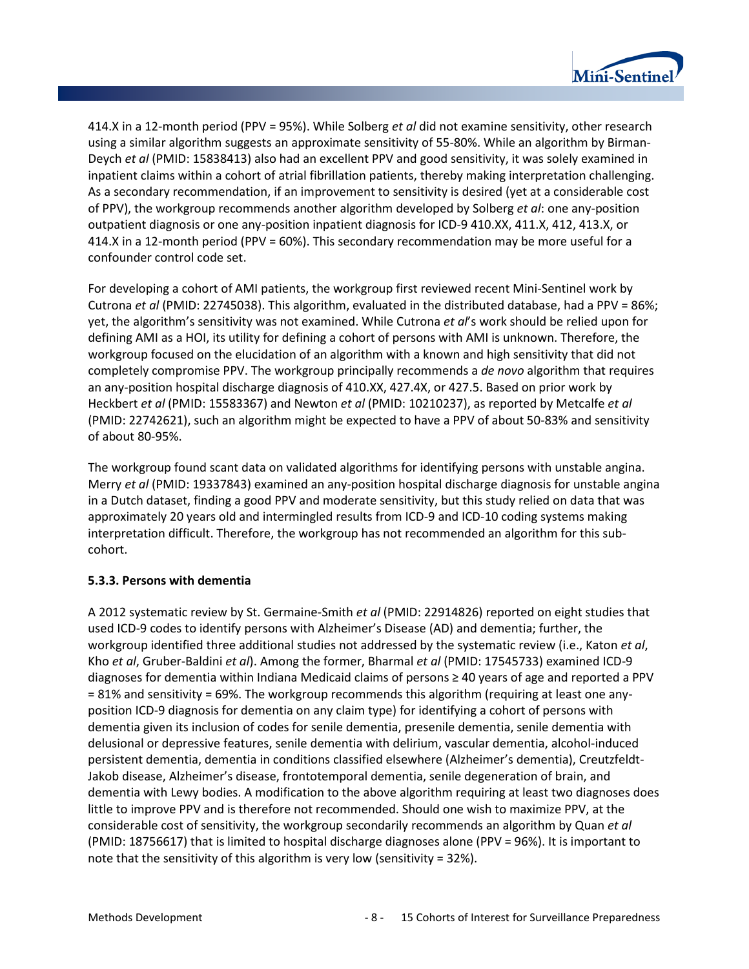

414.X in a 12-month period (PPV = 95%). While Solberg *et al* did not examine sensitivity, other research using a similar algorithm suggests an approximate sensitivity of 55-80%. While an algorithm by Birman-Deych *et al* (PMID: 15838413) also had an excellent PPV and good sensitivity, it was solely examined in inpatient claims within a cohort of atrial fibrillation patients, thereby making interpretation challenging. As a secondary recommendation, if an improvement to sensitivity is desired (yet at a considerable cost of PPV), the workgroup recommends another algorithm developed by Solberg *et al*: one any-position outpatient diagnosis or one any-position inpatient diagnosis for ICD-9 410.XX, 411.X, 412, 413.X, or 414.X in a 12-month period (PPV = 60%). This secondary recommendation may be more useful for a confounder control code set.

For developing a cohort of AMI patients, the workgroup first reviewed recent Mini-Sentinel work by Cutrona *et al* (PMID: 22745038). This algorithm, evaluated in the distributed database, had a PPV = 86%; yet, the algorithm's sensitivity was not examined. While Cutrona *et al*'s work should be relied upon for defining AMI as a HOI, its utility for defining a cohort of persons with AMI is unknown. Therefore, the workgroup focused on the elucidation of an algorithm with a known and high sensitivity that did not completely compromise PPV. The workgroup principally recommends a *de novo* algorithm that requires an any-position hospital discharge diagnosis of 410.XX, 427.4X, or 427.5. Based on prior work by Heckbert *et al* (PMID: 15583367) and Newton *et al* (PMID: 10210237), as reported by Metcalfe *et al* (PMID: 22742621), such an algorithm might be expected to have a PPV of about 50-83% and sensitivity of about 80-95%.

The workgroup found scant data on validated algorithms for identifying persons with unstable angina. Merry *et al* (PMID: 19337843) examined an any-position hospital discharge diagnosis for unstable angina in a Dutch dataset, finding a good PPV and moderate sensitivity, but this study relied on data that was approximately 20 years old and intermingled results from ICD-9 and ICD-10 coding systems making interpretation difficult. Therefore, the workgroup has not recommended an algorithm for this subcohort.

#### **5.3.3. Persons with dementia**

A 2012 systematic review by St. Germaine-Smith *et al* (PMID: 22914826) reported on eight studies that used ICD-9 codes to identify persons with Alzheimer's Disease (AD) and dementia; further, the workgroup identified three additional studies not addressed by the systematic review (i.e., Katon *et al*, Kho *et al*, Gruber-Baldini *et al*). Among the former, Bharmal *et al* (PMID: 17545733) examined ICD-9 diagnoses for dementia within Indiana Medicaid claims of persons ≥ 40 years of age and reported a PPV = 81% and sensitivity = 69%. The workgroup recommends this algorithm (requiring at least one anyposition ICD-9 diagnosis for dementia on any claim type) for identifying a cohort of persons with dementia given its inclusion of codes for senile dementia, presenile dementia, senile dementia with delusional or depressive features, senile dementia with delirium, vascular dementia, alcohol-induced persistent dementia, dementia in conditions classified elsewhere (Alzheimer's dementia), Creutzfeldt-Jakob disease, Alzheimer's disease, frontotemporal dementia, senile degeneration of brain, and dementia with Lewy bodies. A modification to the above algorithm requiring at least two diagnoses does little to improve PPV and is therefore not recommended. Should one wish to maximize PPV, at the considerable cost of sensitivity, the workgroup secondarily recommends an algorithm by Quan *et al* (PMID: 18756617) that is limited to hospital discharge diagnoses alone (PPV = 96%). It is important to note that the sensitivity of this algorithm is very low (sensitivity = 32%).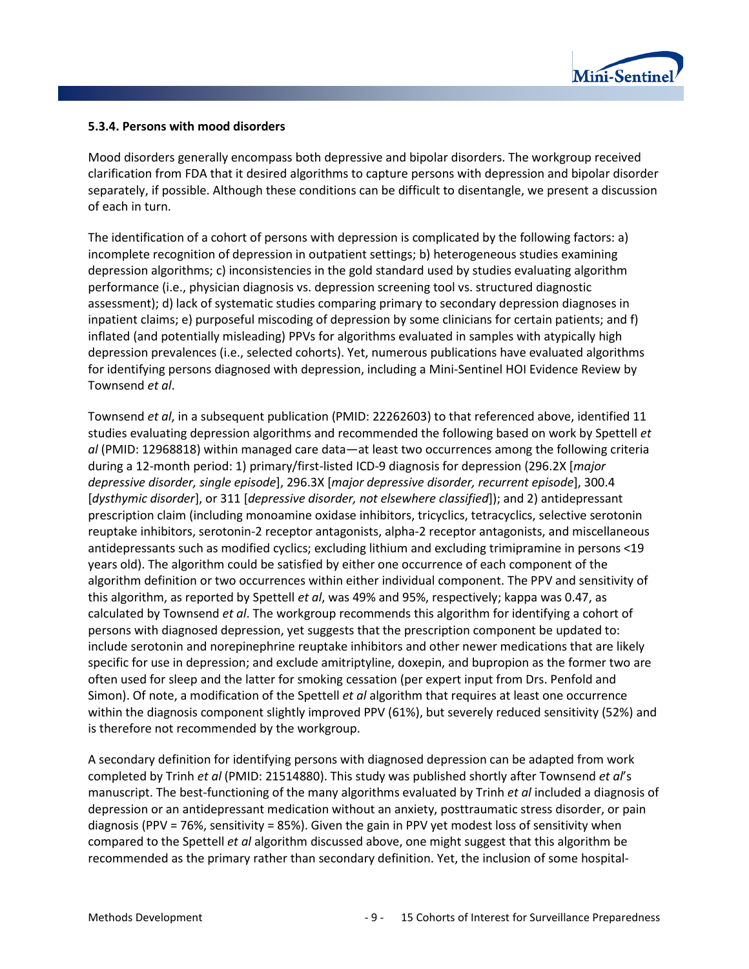

#### **5.3.4. Persons with mood disorders**

Mood disorders generally encompass both depressive and bipolar disorders. The workgroup received clarification from FDA that it desired algorithms to capture persons with depression and bipolar disorder separately, if possible. Although these conditions can be difficult to disentangle, we present a discussion of each in turn.

The identification of a cohort of persons with depression is complicated by the following factors: a) incomplete recognition of depression in outpatient settings; b) heterogeneous studies examining depression algorithms; c) inconsistencies in the gold standard used by studies evaluating algorithm performance (i.e., physician diagnosis vs. depression screening tool vs. structured diagnostic assessment); d) lack of systematic studies comparing primary to secondary depression diagnoses in inpatient claims; e) purposeful miscoding of depression by some clinicians for certain patients; and f) inflated (and potentially misleading) PPVs for algorithms evaluated in samples with atypically high depression prevalences (i.e., selected cohorts). Yet, numerous publications have evaluated algorithms for identifying persons diagnosed with depression, including a Mini-Sentinel HOI Evidence Review by Townsend *et al*.

Townsend *et al*, in a subsequent publication (PMID: 22262603) to that referenced above, identified 11 studies evaluating depression algorithms and recommended the following based on work by Spettell *et al* (PMID: 12968818) within managed care data—at least two occurrences among the following criteria during a 12-month period: 1) primary/first-listed ICD-9 diagnosis for depression (296.2X [*major depressive disorder, single episode*], 296.3X [*major depressive disorder, recurrent episode*], 300.4 [*dysthymic disorder*], or 311 [*depressive disorder, not elsewhere classified*]); and 2) antidepressant prescription claim (including monoamine oxidase inhibitors, tricyclics, tetracyclics, selective serotonin reuptake inhibitors, serotonin-2 receptor antagonists, alpha-2 receptor antagonists, and miscellaneous antidepressants such as modified cyclics; excluding lithium and excluding trimipramine in persons <19 years old). The algorithm could be satisfied by either one occurrence of each component of the algorithm definition or two occurrences within either individual component. The PPV and sensitivity of this algorithm, as reported by Spettell *et al*, was 49% and 95%, respectively; kappa was 0.47, as calculated by Townsend *et al*. The workgroup recommends this algorithm for identifying a cohort of persons with diagnosed depression, yet suggests that the prescription component be updated to: include serotonin and norepinephrine reuptake inhibitors and other newer medications that are likely specific for use in depression; and exclude amitriptyline, doxepin, and bupropion as the former two are often used for sleep and the latter for smoking cessation (per expert input from Drs. Penfold and Simon). Of note, a modification of the Spettell *et al* algorithm that requires at least one occurrence within the diagnosis component slightly improved PPV (61%), but severely reduced sensitivity (52%) and is therefore not recommended by the workgroup.

A secondary definition for identifying persons with diagnosed depression can be adapted from work completed by Trinh *et al* (PMID: 21514880). This study was published shortly after Townsend *et al*'s manuscript. The best-functioning of the many algorithms evaluated by Trinh *et al* included a diagnosis of depression or an antidepressant medication without an anxiety, posttraumatic stress disorder, or pain diagnosis (PPV = 76%, sensitivity = 85%). Given the gain in PPV yet modest loss of sensitivity when compared to the Spettell *et al* algorithm discussed above, one might suggest that this algorithm be recommended as the primary rather than secondary definition. Yet, the inclusion of some hospital-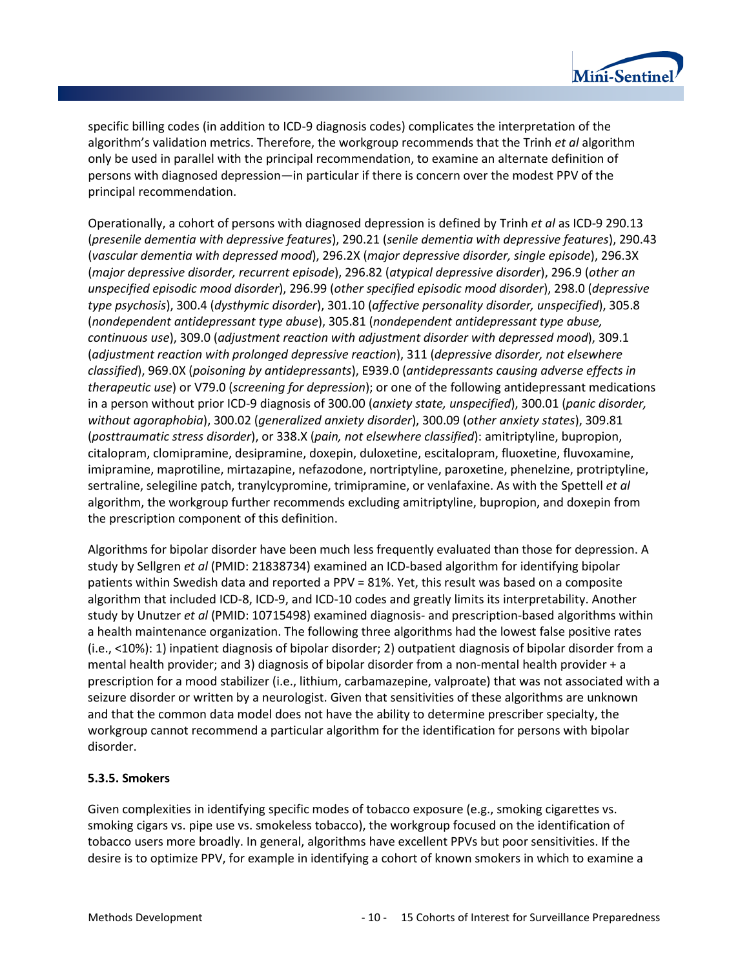

specific billing codes (in addition to ICD-9 diagnosis codes) complicates the interpretation of the algorithm's validation metrics. Therefore, the workgroup recommends that the Trinh *et al* algorithm only be used in parallel with the principal recommendation, to examine an alternate definition of persons with diagnosed depression—in particular if there is concern over the modest PPV of the principal recommendation.

Operationally, a cohort of persons with diagnosed depression is defined by Trinh *et al* as ICD-9 290.13 (*presenile dementia with depressive features*), 290.21 (*senile dementia with depressive features*), 290.43 (*vascular dementia with depressed mood*), 296.2X (*major depressive disorder, single episode*), 296.3X (*major depressive disorder, recurrent episode*), 296.82 (*atypical depressive disorder*), 296.9 (*other an unspecified episodic mood disorder*), 296.99 (*other specified episodic mood disorder*), 298.0 (*depressive type psychosis*), 300.4 (*dysthymic disorder*), 301.10 (*affective personality disorder, unspecified*), 305.8 (*nondependent antidepressant type abuse*), 305.81 (*nondependent antidepressant type abuse, continuous use*), 309.0 (*adjustment reaction with adjustment disorder with depressed mood*), 309.1 (*adjustment reaction with prolonged depressive reaction*), 311 (*depressive disorder, not elsewhere classified*), 969.0X (*poisoning by antidepressants*), E939.0 (*antidepressants causing adverse effects in therapeutic use*) or V79.0 (*screening for depression*); or one of the following antidepressant medications in a person without prior ICD-9 diagnosis of 300.00 (*anxiety state, unspecified*), 300.01 (*panic disorder, without agoraphobia*), 300.02 (*generalized anxiety disorder*), 300.09 (*other anxiety states*), 309.81 (*posttraumatic stress disorder*), or 338.X (*pain, not elsewhere classified*): amitriptyline, bupropion, citalopram, clomipramine, desipramine, doxepin, duloxetine, escitalopram, fluoxetine, fluvoxamine, imipramine, maprotiline, mirtazapine, nefazodone, nortriptyline, paroxetine, phenelzine, protriptyline, sertraline, selegiline patch, tranylcypromine, trimipramine, or venlafaxine. As with the Spettell *et al* algorithm, the workgroup further recommends excluding amitriptyline, bupropion, and doxepin from the prescription component of this definition.

Algorithms for bipolar disorder have been much less frequently evaluated than those for depression. A study by Sellgren *et al* (PMID: 21838734) examined an ICD-based algorithm for identifying bipolar patients within Swedish data and reported a PPV = 81%. Yet, this result was based on a composite algorithm that included ICD-8, ICD-9, and ICD-10 codes and greatly limits its interpretability. Another study by Unutzer *et al* (PMID: 10715498) examined diagnosis- and prescription-based algorithms within a health maintenance organization. The following three algorithms had the lowest false positive rates (i.e., <10%): 1) inpatient diagnosis of bipolar disorder; 2) outpatient diagnosis of bipolar disorder from a mental health provider; and 3) diagnosis of bipolar disorder from a non-mental health provider + a prescription for a mood stabilizer (i.e., lithium, carbamazepine, valproate) that was not associated with a seizure disorder or written by a neurologist. Given that sensitivities of these algorithms are unknown and that the common data model does not have the ability to determine prescriber specialty, the workgroup cannot recommend a particular algorithm for the identification for persons with bipolar disorder.

#### **5.3.5. Smokers**

Given complexities in identifying specific modes of tobacco exposure (e.g., smoking cigarettes vs. smoking cigars vs. pipe use vs. smokeless tobacco), the workgroup focused on the identification of tobacco users more broadly. In general, algorithms have excellent PPVs but poor sensitivities. If the desire is to optimize PPV, for example in identifying a cohort of known smokers in which to examine a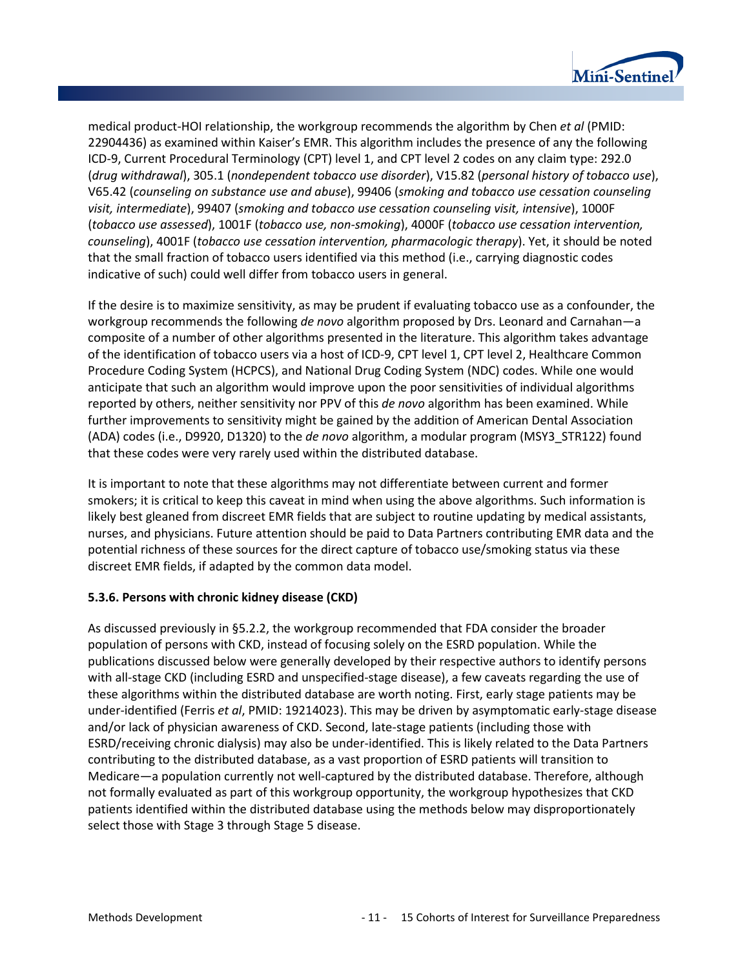

medical product-HOI relationship, the workgroup recommends the algorithm by Chen *et al* (PMID: 22904436) as examined within Kaiser's EMR. This algorithm includes the presence of any the following ICD-9, Current Procedural Terminology (CPT) level 1, and CPT level 2 codes on any claim type: 292.0 (*drug withdrawal*), 305.1 (*nondependent tobacco use disorder*), V15.82 (*personal history of tobacco use*), V65.42 (*counseling on substance use and abuse*), 99406 (*smoking and tobacco use cessation counseling visit, intermediate*), 99407 (*smoking and tobacco use cessation counseling visit, intensive*), 1000F (*tobacco use assessed*), 1001F (*tobacco use, non-smoking*), 4000F (*tobacco use cessation intervention, counseling*), 4001F (*tobacco use cessation intervention, pharmacologic therapy*). Yet, it should be noted that the small fraction of tobacco users identified via this method (i.e., carrying diagnostic codes indicative of such) could well differ from tobacco users in general.

If the desire is to maximize sensitivity, as may be prudent if evaluating tobacco use as a confounder, the workgroup recommends the following *de novo* algorithm proposed by Drs. Leonard and Carnahan—a composite of a number of other algorithms presented in the literature. This algorithm takes advantage of the identification of tobacco users via a host of ICD-9, CPT level 1, CPT level 2, Healthcare Common Procedure Coding System (HCPCS), and National Drug Coding System (NDC) codes. While one would anticipate that such an algorithm would improve upon the poor sensitivities of individual algorithms reported by others, neither sensitivity nor PPV of this *de novo* algorithm has been examined. While further improvements to sensitivity might be gained by the addition of American Dental Association (ADA) codes (i.e., D9920, D1320) to the *de novo* algorithm, a modular program (MSY3\_STR122) found that these codes were very rarely used within the distributed database.

It is important to note that these algorithms may not differentiate between current and former smokers; it is critical to keep this caveat in mind when using the above algorithms. Such information is likely best gleaned from discreet EMR fields that are subject to routine updating by medical assistants, nurses, and physicians. Future attention should be paid to Data Partners contributing EMR data and the potential richness of these sources for the direct capture of tobacco use/smoking status via these discreet EMR fields, if adapted by the common data model.

#### **5.3.6. Persons with chronic kidney disease (CKD)**

As discussed previously in §5.2.2, the workgroup recommended that FDA consider the broader population of persons with CKD, instead of focusing solely on the ESRD population. While the publications discussed below were generally developed by their respective authors to identify persons with all-stage CKD (including ESRD and unspecified-stage disease), a few caveats regarding the use of these algorithms within the distributed database are worth noting. First, early stage patients may be under-identified (Ferris *et al*, PMID: 19214023). This may be driven by asymptomatic early-stage disease and/or lack of physician awareness of CKD. Second, late-stage patients (including those with ESRD/receiving chronic dialysis) may also be under-identified. This is likely related to the Data Partners contributing to the distributed database, as a vast proportion of ESRD patients will transition to Medicare—a population currently not well-captured by the distributed database. Therefore, although not formally evaluated as part of this workgroup opportunity, the workgroup hypothesizes that CKD patients identified within the distributed database using the methods below may disproportionately select those with Stage 3 through Stage 5 disease.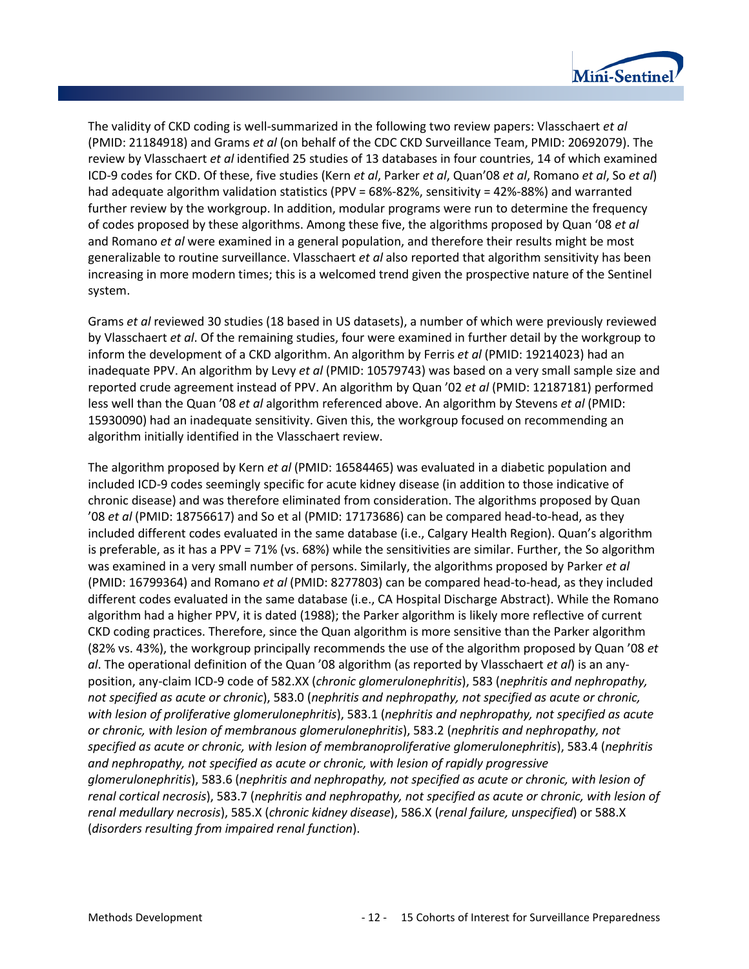

The validity of CKD coding is well-summarized in the following two review papers: Vlasschaert *et al* (PMID: 21184918) and Grams *et al* (on behalf of the CDC CKD Surveillance Team, PMID: 20692079). The review by Vlasschaert *et al* identified 25 studies of 13 databases in four countries, 14 of which examined ICD-9 codes for CKD. Of these, five studies (Kern *et al*, Parker *et al*, Quan'08 *et al*, Romano *et al*, So *et al*) had adequate algorithm validation statistics (PPV = 68%-82%, sensitivity = 42%-88%) and warranted further review by the workgroup. In addition, modular programs were run to determine the frequency of codes proposed by these algorithms. Among these five, the algorithms proposed by Quan '08 *et al* and Romano *et al* were examined in a general population, and therefore their results might be most generalizable to routine surveillance. Vlasschaert *et al* also reported that algorithm sensitivity has been increasing in more modern times; this is a welcomed trend given the prospective nature of the Sentinel system.

Grams *et al* reviewed 30 studies (18 based in US datasets), a number of which were previously reviewed by Vlasschaert *et al*. Of the remaining studies, four were examined in further detail by the workgroup to inform the development of a CKD algorithm. An algorithm by Ferris *et al* (PMID: 19214023) had an inadequate PPV. An algorithm by Levy *et al* (PMID: 10579743) was based on a very small sample size and reported crude agreement instead of PPV. An algorithm by Quan '02 *et al* (PMID: 12187181) performed less well than the Quan '08 *et al* algorithm referenced above. An algorithm by Stevens *et al* (PMID: 15930090) had an inadequate sensitivity. Given this, the workgroup focused on recommending an algorithm initially identified in the Vlasschaert review.

The algorithm proposed by Kern *et al* (PMID: 16584465) was evaluated in a diabetic population and included ICD-9 codes seemingly specific for acute kidney disease (in addition to those indicative of chronic disease) and was therefore eliminated from consideration. The algorithms proposed by Quan '08 *et al* (PMID: 18756617) and So et al (PMID: 17173686) can be compared head-to-head, as they included different codes evaluated in the same database (i.e., Calgary Health Region). Quan's algorithm is preferable, as it has a PPV = 71% (vs. 68%) while the sensitivities are similar. Further, the So algorithm was examined in a very small number of persons. Similarly, the algorithms proposed by Parker *et al* (PMID: 16799364) and Romano *et al* (PMID: 8277803) can be compared head-to-head, as they included different codes evaluated in the same database (i.e., CA Hospital Discharge Abstract). While the Romano algorithm had a higher PPV, it is dated (1988); the Parker algorithm is likely more reflective of current CKD coding practices. Therefore, since the Quan algorithm is more sensitive than the Parker algorithm (82% vs. 43%), the workgroup principally recommends the use of the algorithm proposed by Quan '08 *et al*. The operational definition of the Quan '08 algorithm (as reported by Vlasschaert *et al*) is an anyposition, any-claim ICD-9 code of 582.XX (*chronic glomerulonephritis*), 583 (*nephritis and nephropathy, not specified as acute or chronic*), 583.0 (*nephritis and nephropathy, not specified as acute or chronic, with lesion of proliferative glomerulonephritis*), 583.1 (*nephritis and nephropathy, not specified as acute or chronic, with lesion of membranous glomerulonephritis*), 583.2 (*nephritis and nephropathy, not specified as acute or chronic, with lesion of membranoproliferative glomerulonephritis*), 583.4 (*nephritis and nephropathy, not specified as acute or chronic, with lesion of rapidly progressive glomerulonephritis*), 583.6 (*nephritis and nephropathy, not specified as acute or chronic, with lesion of renal cortical necrosis*), 583.7 (*nephritis and nephropathy, not specified as acute or chronic, with lesion of renal medullary necrosis*), 585.X (*chronic kidney disease*), 586.X (*renal failure, unspecified*) or 588.X (*disorders resulting from impaired renal function*).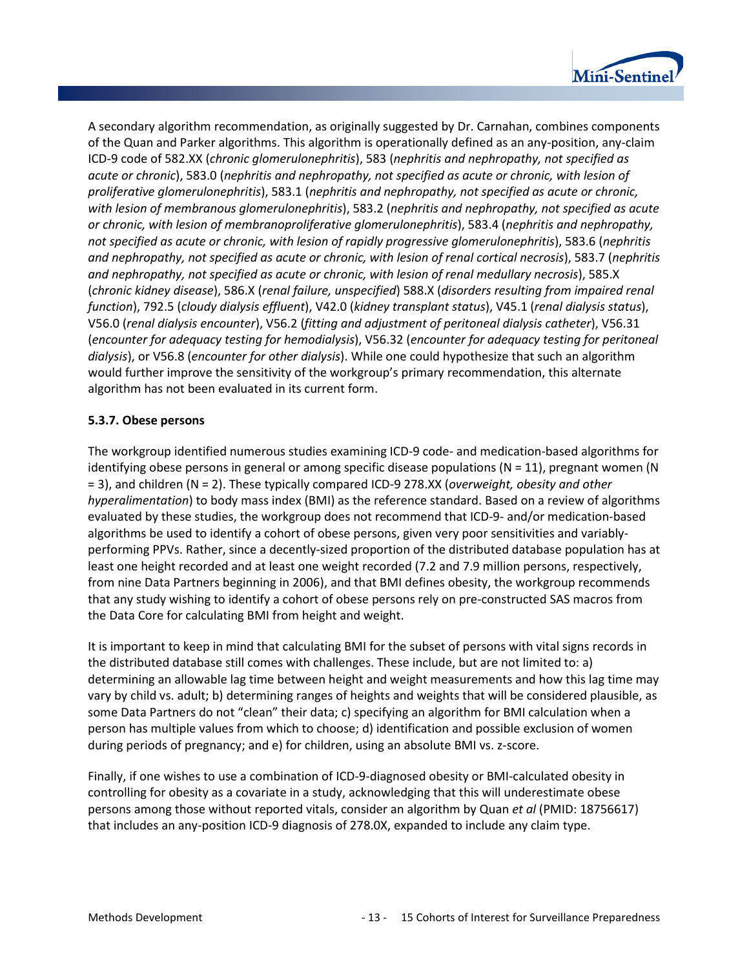

A secondary algorithm recommendation, as originally suggested by Dr. Carnahan, combines components of the Quan and Parker algorithms. This algorithm is operationally defined as an any-position, any-claim ICD-9 code of 582.XX (*chronic glomerulonephritis*), 583 (*nephritis and nephropathy, not specified as acute or chronic*), 583.0 (*nephritis and nephropathy, not specified as acute or chronic, with lesion of proliferative glomerulonephritis*), 583.1 (*nephritis and nephropathy, not specified as acute or chronic, with lesion of membranous glomerulonephritis*), 583.2 (*nephritis and nephropathy, not specified as acute or chronic, with lesion of membranoproliferative glomerulonephritis*), 583.4 (*nephritis and nephropathy, not specified as acute or chronic, with lesion of rapidly progressive glomerulonephritis*), 583.6 (*nephritis and nephropathy, not specified as acute or chronic, with lesion of renal cortical necrosis*), 583.7 (*nephritis and nephropathy, not specified as acute or chronic, with lesion of renal medullary necrosis*), 585.X (*chronic kidney disease*), 586.X (*renal failure, unspecified*) 588.X (*disorders resulting from impaired renal function*), 792.5 (*cloudy dialysis effluent*), V42.0 (*kidney transplant status*), V45.1 (*renal dialysis status*), V56.0 (*renal dialysis encounter*), V56.2 (*fitting and adjustment of peritoneal dialysis catheter*), V56.31 (*encounter for adequacy testing for hemodialysis*), V56.32 (*encounter for adequacy testing for peritoneal dialysis*), or V56.8 (*encounter for other dialysis*). While one could hypothesize that such an algorithm would further improve the sensitivity of the workgroup's primary recommendation, this alternate algorithm has not been evaluated in its current form.

#### **5.3.7. Obese persons**

The workgroup identified numerous studies examining ICD-9 code- and medication-based algorithms for identifying obese persons in general or among specific disease populations  $(N = 11)$ , pregnant women (N = 3), and children (N = 2). These typically compared ICD-9 278.XX (*overweight, obesity and other hyperalimentation*) to body mass index (BMI) as the reference standard. Based on a review of algorithms evaluated by these studies, the workgroup does not recommend that ICD-9- and/or medication-based algorithms be used to identify a cohort of obese persons, given very poor sensitivities and variablyperforming PPVs. Rather, since a decently-sized proportion of the distributed database population has at least one height recorded and at least one weight recorded (7.2 and 7.9 million persons, respectively, from nine Data Partners beginning in 2006), and that BMI defines obesity, the workgroup recommends that any study wishing to identify a cohort of obese persons rely on pre-constructed SAS macros from the Data Core for calculating BMI from height and weight.

It is important to keep in mind that calculating BMI for the subset of persons with vital signs records in the distributed database still comes with challenges. These include, but are not limited to: a) determining an allowable lag time between height and weight measurements and how this lag time may vary by child vs. adult; b) determining ranges of heights and weights that will be considered plausible, as some Data Partners do not "clean" their data; c) specifying an algorithm for BMI calculation when a person has multiple values from which to choose; d) identification and possible exclusion of women during periods of pregnancy; and e) for children, using an absolute BMI vs. z-score.

Finally, if one wishes to use a combination of ICD-9-diagnosed obesity or BMI-calculated obesity in controlling for obesity as a covariate in a study, acknowledging that this will underestimate obese persons among those without reported vitals, consider an algorithm by Quan *et al* (PMID: 18756617) that includes an any-position ICD-9 diagnosis of 278.0X, expanded to include any claim type.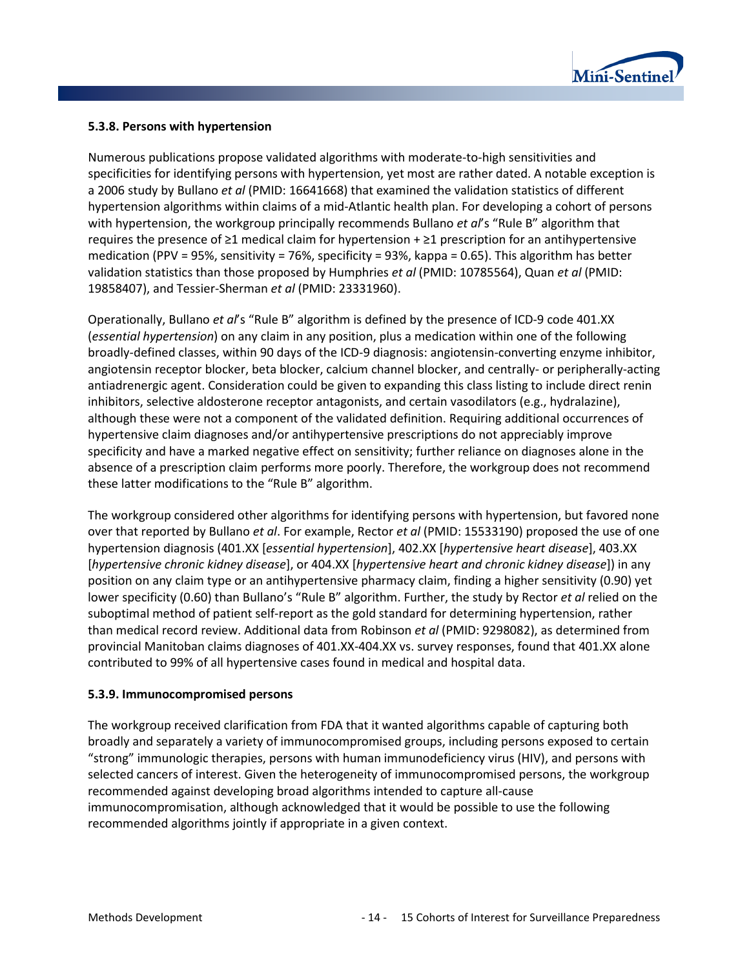

#### **5.3.8. Persons with hypertension**

Numerous publications propose validated algorithms with moderate-to-high sensitivities and specificities for identifying persons with hypertension, yet most are rather dated. A notable exception is a 2006 study by Bullano *et al* (PMID: 16641668) that examined the validation statistics of different hypertension algorithms within claims of a mid-Atlantic health plan. For developing a cohort of persons with hypertension, the workgroup principally recommends Bullano *et al*'s "Rule B" algorithm that requires the presence of  $\geq 1$  medical claim for hypertension +  $\geq 1$  prescription for an antihypertensive medication (PPV = 95%, sensitivity = 76%, specificity = 93%, kappa = 0.65). This algorithm has better validation statistics than those proposed by Humphries *et al* (PMID: 10785564), Quan *et al* (PMID: 19858407), and Tessier-Sherman *et al* (PMID: 23331960).

Operationally, Bullano *et al*'s "Rule B" algorithm is defined by the presence of ICD-9 code 401.XX (*essential hypertension*) on any claim in any position, plus a medication within one of the following broadly-defined classes, within 90 days of the ICD-9 diagnosis: angiotensin-converting enzyme inhibitor, angiotensin receptor blocker, beta blocker, calcium channel blocker, and centrally- or peripherally-acting antiadrenergic agent. Consideration could be given to expanding this class listing to include direct renin inhibitors, selective aldosterone receptor antagonists, and certain vasodilators (e.g., hydralazine), although these were not a component of the validated definition. Requiring additional occurrences of hypertensive claim diagnoses and/or antihypertensive prescriptions do not appreciably improve specificity and have a marked negative effect on sensitivity; further reliance on diagnoses alone in the absence of a prescription claim performs more poorly. Therefore, the workgroup does not recommend these latter modifications to the "Rule B" algorithm.

The workgroup considered other algorithms for identifying persons with hypertension, but favored none over that reported by Bullano *et al*. For example, Rector *et al* (PMID: 15533190) proposed the use of one hypertension diagnosis (401.XX [*essential hypertension*], 402.XX [*hypertensive heart disease*], 403.XX [*hypertensive chronic kidney disease*], or 404.XX [*hypertensive heart and chronic kidney disease*]) in any position on any claim type or an antihypertensive pharmacy claim, finding a higher sensitivity (0.90) yet lower specificity (0.60) than Bullano's "Rule B" algorithm. Further, the study by Rector *et al* relied on the suboptimal method of patient self-report as the gold standard for determining hypertension, rather than medical record review. Additional data from Robinson *et al* (PMID: 9298082), as determined from provincial Manitoban claims diagnoses of 401.XX-404.XX vs. survey responses, found that 401.XX alone contributed to 99% of all hypertensive cases found in medical and hospital data.

#### **5.3.9. Immunocompromised persons**

The workgroup received clarification from FDA that it wanted algorithms capable of capturing both broadly and separately a variety of immunocompromised groups, including persons exposed to certain "strong" immunologic therapies, persons with human immunodeficiency virus (HIV), and persons with selected cancers of interest. Given the heterogeneity of immunocompromised persons, the workgroup recommended against developing broad algorithms intended to capture all-cause immunocompromisation, although acknowledged that it would be possible to use the following recommended algorithms jointly if appropriate in a given context.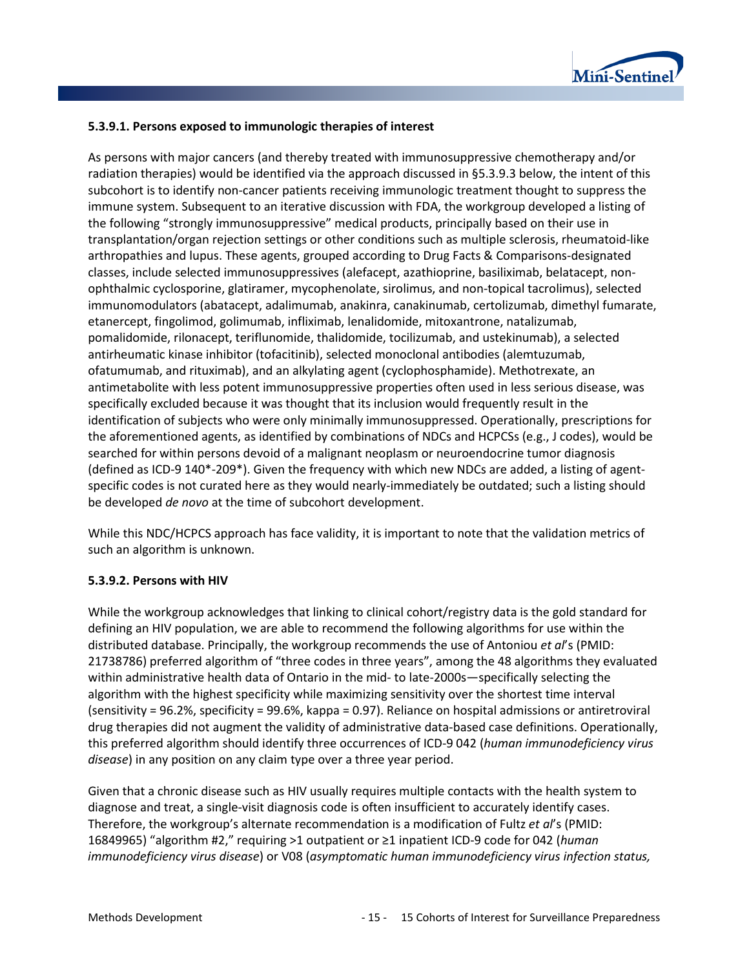

#### **5.3.9.1. Persons exposed to immunologic therapies of interest**

As persons with major cancers (and thereby treated with immunosuppressive chemotherapy and/or radiation therapies) would be identified via the approach discussed in §5.3.9.3 below, the intent of this subcohort is to identify non-cancer patients receiving immunologic treatment thought to suppress the immune system. Subsequent to an iterative discussion with FDA, the workgroup developed a listing of the following "strongly immunosuppressive" medical products, principally based on their use in transplantation/organ rejection settings or other conditions such as multiple sclerosis, rheumatoid-like arthropathies and lupus. These agents, grouped according to Drug Facts & Comparisons-designated classes, include selected immunosuppressives (alefacept, azathioprine, basiliximab, belatacept, nonophthalmic cyclosporine, glatiramer, mycophenolate, sirolimus, and non-topical tacrolimus), selected immunomodulators (abatacept, adalimumab, anakinra, canakinumab, certolizumab, dimethyl fumarate, etanercept, fingolimod, golimumab, infliximab, lenalidomide, mitoxantrone, natalizumab, pomalidomide, rilonacept, teriflunomide, thalidomide, tocilizumab, and ustekinumab), a selected antirheumatic kinase inhibitor (tofacitinib), selected monoclonal antibodies (alemtuzumab, ofatumumab, and rituximab), and an alkylating agent (cyclophosphamide). Methotrexate, an antimetabolite with less potent immunosuppressive properties often used in less serious disease, was specifically excluded because it was thought that its inclusion would frequently result in the identification of subjects who were only minimally immunosuppressed. Operationally, prescriptions for the aforementioned agents, as identified by combinations of NDCs and HCPCSs (e.g., J codes), would be searched for within persons devoid of a malignant neoplasm or neuroendocrine tumor diagnosis (defined as ICD-9 140\*-209\*). Given the frequency with which new NDCs are added, a listing of agentspecific codes is not curated here as they would nearly-immediately be outdated; such a listing should be developed *de novo* at the time of subcohort development.

While this NDC/HCPCS approach has face validity, it is important to note that the validation metrics of such an algorithm is unknown.

#### **5.3.9.2. Persons with HIV**

While the workgroup acknowledges that linking to clinical cohort/registry data is the gold standard for defining an HIV population, we are able to recommend the following algorithms for use within the distributed database. Principally, the workgroup recommends the use of Antoniou *et al*'s (PMID: 21738786) preferred algorithm of "three codes in three years", among the 48 algorithms they evaluated within administrative health data of Ontario in the mid- to late-2000s—specifically selecting the algorithm with the highest specificity while maximizing sensitivity over the shortest time interval (sensitivity = 96.2%, specificity = 99.6%, kappa = 0.97). Reliance on hospital admissions or antiretroviral drug therapies did not augment the validity of administrative data-based case definitions. Operationally, this preferred algorithm should identify three occurrences of ICD-9 042 (*human immunodeficiency virus disease*) in any position on any claim type over a three year period.

Given that a chronic disease such as HIV usually requires multiple contacts with the health system to diagnose and treat, a single-visit diagnosis code is often insufficient to accurately identify cases. Therefore, the workgroup's alternate recommendation is a modification of Fultz *et al*'s (PMID: 16849965) "algorithm #2," requiring >1 outpatient or ≥1 inpatient ICD-9 code for 042 (*human immunodeficiency virus disease*) or V08 (*asymptomatic human immunodeficiency virus infection status,*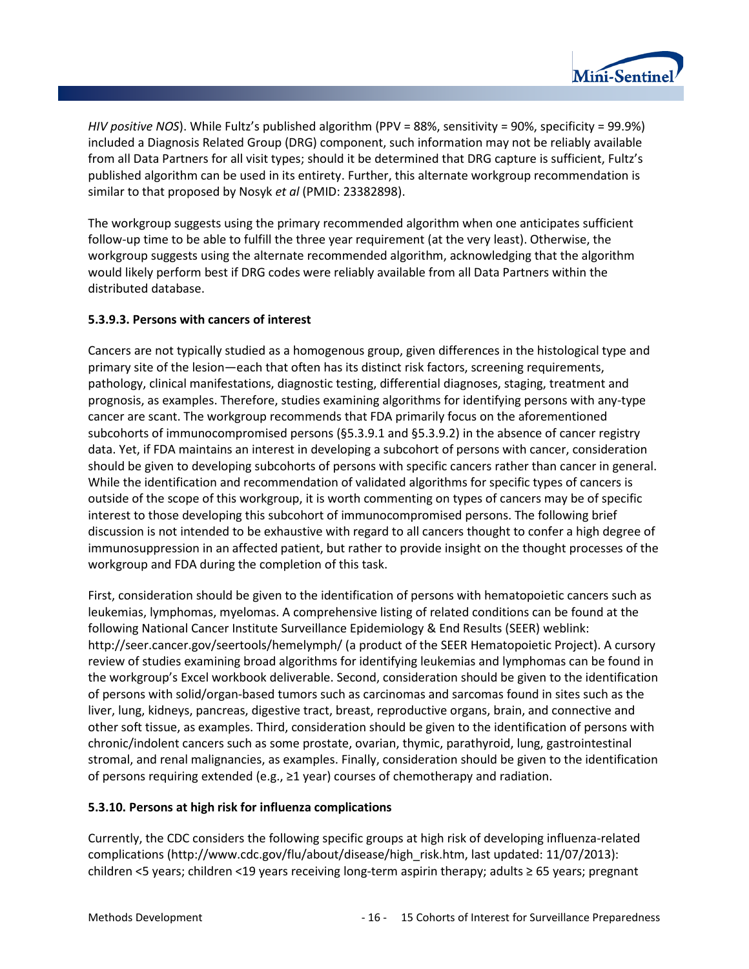

*HIV positive NOS*). While Fultz's published algorithm (PPV = 88%, sensitivity = 90%, specificity = 99.9%) included a Diagnosis Related Group (DRG) component, such information may not be reliably available from all Data Partners for all visit types; should it be determined that DRG capture is sufficient, Fultz's published algorithm can be used in its entirety. Further, this alternate workgroup recommendation is similar to that proposed by Nosyk *et al* (PMID: 23382898).

The workgroup suggests using the primary recommended algorithm when one anticipates sufficient follow-up time to be able to fulfill the three year requirement (at the very least). Otherwise, the workgroup suggests using the alternate recommended algorithm, acknowledging that the algorithm would likely perform best if DRG codes were reliably available from all Data Partners within the distributed database.

### **5.3.9.3. Persons with cancers of interest**

Cancers are not typically studied as a homogenous group, given differences in the histological type and primary site of the lesion—each that often has its distinct risk factors, screening requirements, pathology, clinical manifestations, diagnostic testing, differential diagnoses, staging, treatment and prognosis, as examples. Therefore, studies examining algorithms for identifying persons with any-type cancer are scant. The workgroup recommends that FDA primarily focus on the aforementioned subcohorts of immunocompromised persons (§5.3.9.1 and §5.3.9.2) in the absence of cancer registry data. Yet, if FDA maintains an interest in developing a subcohort of persons with cancer, consideration should be given to developing subcohorts of persons with specific cancers rather than cancer in general. While the identification and recommendation of validated algorithms for specific types of cancers is outside of the scope of this workgroup, it is worth commenting on types of cancers may be of specific interest to those developing this subcohort of immunocompromised persons. The following brief discussion is not intended to be exhaustive with regard to all cancers thought to confer a high degree of immunosuppression in an affected patient, but rather to provide insight on the thought processes of the workgroup and FDA during the completion of this task.

First, consideration should be given to the identification of persons with hematopoietic cancers such as leukemias, lymphomas, myelomas. A comprehensive listing of related conditions can be found at the following National Cancer Institute Surveillance Epidemiology & End Results (SEER) weblink: http://seer.cancer.gov/seertools/hemelymph/ (a product of the SEER Hematopoietic Project). A cursory review of studies examining broad algorithms for identifying leukemias and lymphomas can be found in the workgroup's Excel workbook deliverable. Second, consideration should be given to the identification of persons with solid/organ-based tumors such as carcinomas and sarcomas found in sites such as the liver, lung, kidneys, pancreas, digestive tract, breast, reproductive organs, brain, and connective and other soft tissue, as examples. Third, consideration should be given to the identification of persons with chronic/indolent cancers such as some prostate, ovarian, thymic, parathyroid, lung, gastrointestinal stromal, and renal malignancies, as examples. Finally, consideration should be given to the identification of persons requiring extended (e.g., ≥1 year) courses of chemotherapy and radiation.

#### **5.3.10. Persons at high risk for influenza complications**

Currently, the CDC considers the following specific groups at high risk of developing influenza-related complications (http://www.cdc.gov/flu/about/disease/high\_risk.htm, last updated: 11/07/2013): children <5 years; children <19 years receiving long-term aspirin therapy; adults ≥ 65 years; pregnant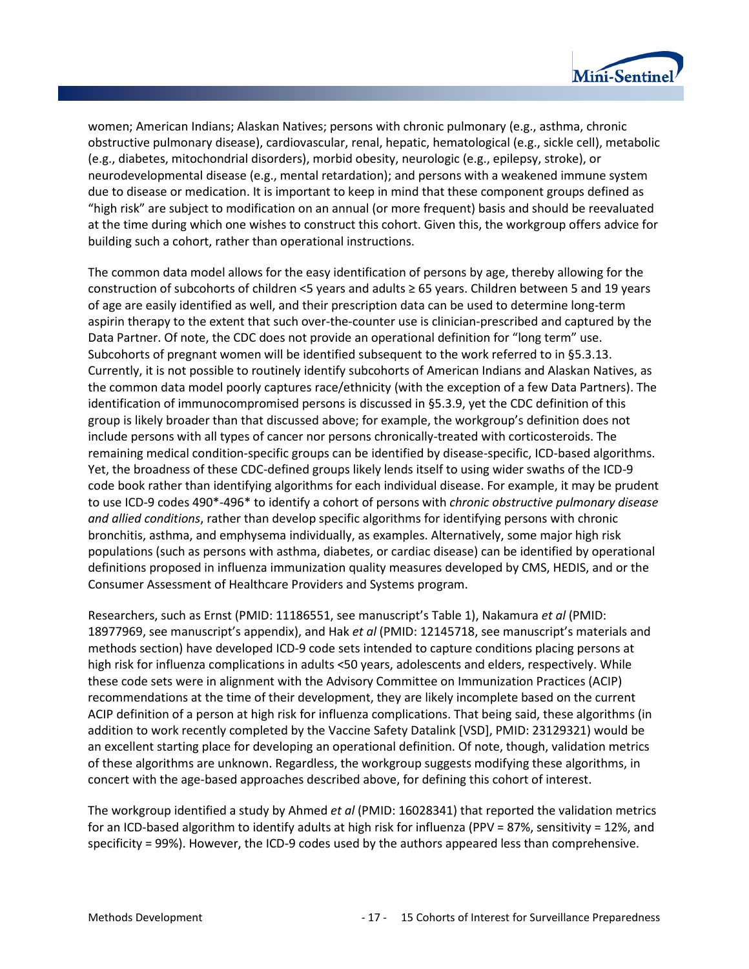

women; American Indians; Alaskan Natives; persons with chronic pulmonary (e.g., asthma, chronic obstructive pulmonary disease), cardiovascular, renal, hepatic, hematological (e.g., sickle cell), metabolic (e.g., diabetes, mitochondrial disorders), morbid obesity, neurologic (e.g., epilepsy, stroke), or neurodevelopmental disease (e.g., mental retardation); and persons with a weakened immune system due to disease or medication. It is important to keep in mind that these component groups defined as "high risk" are subject to modification on an annual (or more frequent) basis and should be reevaluated at the time during which one wishes to construct this cohort. Given this, the workgroup offers advice for building such a cohort, rather than operational instructions.

The common data model allows for the easy identification of persons by age, thereby allowing for the construction of subcohorts of children <5 years and adults ≥ 65 years. Children between 5 and 19 years of age are easily identified as well, and their prescription data can be used to determine long-term aspirin therapy to the extent that such over-the-counter use is clinician-prescribed and captured by the Data Partner. Of note, the CDC does not provide an operational definition for "long term" use. Subcohorts of pregnant women will be identified subsequent to the work referred to in §5.3.13. Currently, it is not possible to routinely identify subcohorts of American Indians and Alaskan Natives, as the common data model poorly captures race/ethnicity (with the exception of a few Data Partners). The identification of immunocompromised persons is discussed in §5.3.9, yet the CDC definition of this group is likely broader than that discussed above; for example, the workgroup's definition does not include persons with all types of cancer nor persons chronically-treated with corticosteroids. The remaining medical condition-specific groups can be identified by disease-specific, ICD-based algorithms. Yet, the broadness of these CDC-defined groups likely lends itself to using wider swaths of the ICD-9 code book rather than identifying algorithms for each individual disease. For example, it may be prudent to use ICD-9 codes 490\*-496\* to identify a cohort of persons with *chronic obstructive pulmonary disease and allied conditions*, rather than develop specific algorithms for identifying persons with chronic bronchitis, asthma, and emphysema individually, as examples. Alternatively, some major high risk populations (such as persons with asthma, diabetes, or cardiac disease) can be identified by operational definitions proposed in influenza immunization quality measures developed by CMS, HEDIS, and or the Consumer Assessment of Healthcare Providers and Systems program.

Researchers, such as Ernst (PMID: 11186551, see manuscript's Table 1), Nakamura *et al* (PMID: 18977969, see manuscript's appendix), and Hak *et al* (PMID: 12145718, see manuscript's materials and methods section) have developed ICD-9 code sets intended to capture conditions placing persons at high risk for influenza complications in adults <50 years, adolescents and elders, respectively. While these code sets were in alignment with the Advisory Committee on Immunization Practices (ACIP) recommendations at the time of their development, they are likely incomplete based on the current ACIP definition of a person at high risk for influenza complications. That being said, these algorithms (in addition to work recently completed by the Vaccine Safety Datalink [VSD], PMID: 23129321) would be an excellent starting place for developing an operational definition. Of note, though, validation metrics of these algorithms are unknown. Regardless, the workgroup suggests modifying these algorithms, in concert with the age-based approaches described above, for defining this cohort of interest.

The workgroup identified a study by Ahmed *et al* (PMID: 16028341) that reported the validation metrics for an ICD-based algorithm to identify adults at high risk for influenza (PPV = 87%, sensitivity = 12%, and specificity = 99%). However, the ICD-9 codes used by the authors appeared less than comprehensive.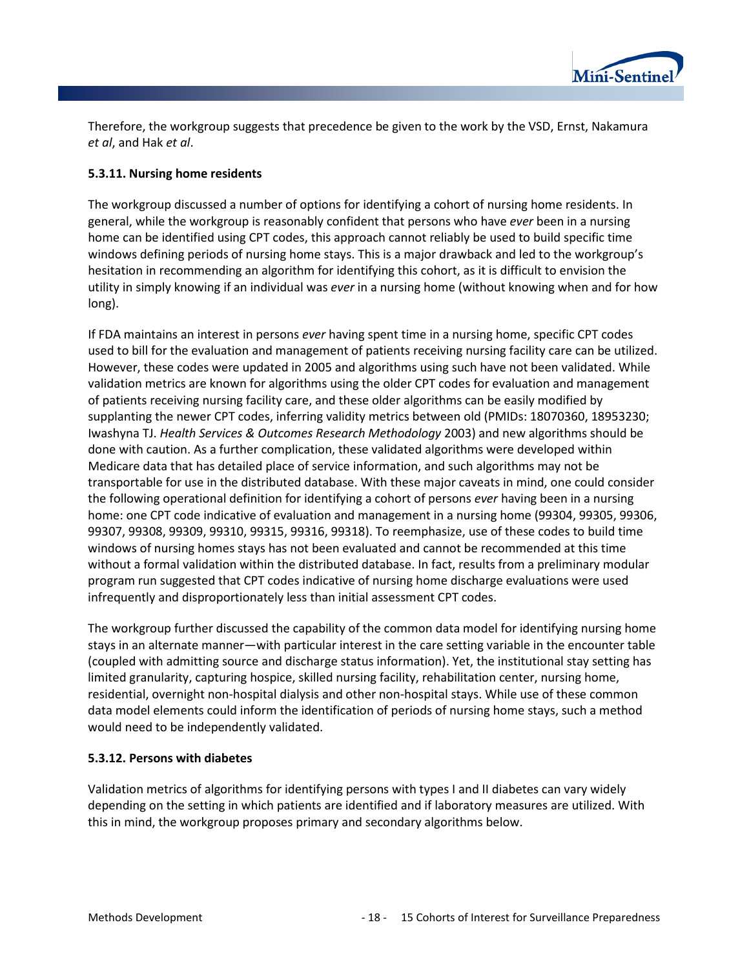

Therefore, the workgroup suggests that precedence be given to the work by the VSD, Ernst, Nakamura *et al*, and Hak *et al*.

#### **5.3.11. Nursing home residents**

The workgroup discussed a number of options for identifying a cohort of nursing home residents. In general, while the workgroup is reasonably confident that persons who have *ever* been in a nursing home can be identified using CPT codes, this approach cannot reliably be used to build specific time windows defining periods of nursing home stays. This is a major drawback and led to the workgroup's hesitation in recommending an algorithm for identifying this cohort, as it is difficult to envision the utility in simply knowing if an individual was *ever* in a nursing home (without knowing when and for how long).

If FDA maintains an interest in persons *ever* having spent time in a nursing home, specific CPT codes used to bill for the evaluation and management of patients receiving nursing facility care can be utilized. However, these codes were updated in 2005 and algorithms using such have not been validated. While validation metrics are known for algorithms using the older CPT codes for evaluation and management of patients receiving nursing facility care, and these older algorithms can be easily modified by supplanting the newer CPT codes, inferring validity metrics between old (PMIDs: 18070360, 18953230; Iwashyna TJ. *Health Services & Outcomes Research Methodology* 2003) and new algorithms should be done with caution. As a further complication, these validated algorithms were developed within Medicare data that has detailed place of service information, and such algorithms may not be transportable for use in the distributed database. With these major caveats in mind, one could consider the following operational definition for identifying a cohort of persons *ever* having been in a nursing home: one CPT code indicative of evaluation and management in a nursing home (99304, 99305, 99306, 99307, 99308, 99309, 99310, 99315, 99316, 99318). To reemphasize, use of these codes to build time windows of nursing homes stays has not been evaluated and cannot be recommended at this time without a formal validation within the distributed database. In fact, results from a preliminary modular program run suggested that CPT codes indicative of nursing home discharge evaluations were used infrequently and disproportionately less than initial assessment CPT codes.

The workgroup further discussed the capability of the common data model for identifying nursing home stays in an alternate manner—with particular interest in the care setting variable in the encounter table (coupled with admitting source and discharge status information). Yet, the institutional stay setting has limited granularity, capturing hospice, skilled nursing facility, rehabilitation center, nursing home, residential, overnight non-hospital dialysis and other non-hospital stays. While use of these common data model elements could inform the identification of periods of nursing home stays, such a method would need to be independently validated.

#### **5.3.12. Persons with diabetes**

Validation metrics of algorithms for identifying persons with types I and II diabetes can vary widely depending on the setting in which patients are identified and if laboratory measures are utilized. With this in mind, the workgroup proposes primary and secondary algorithms below.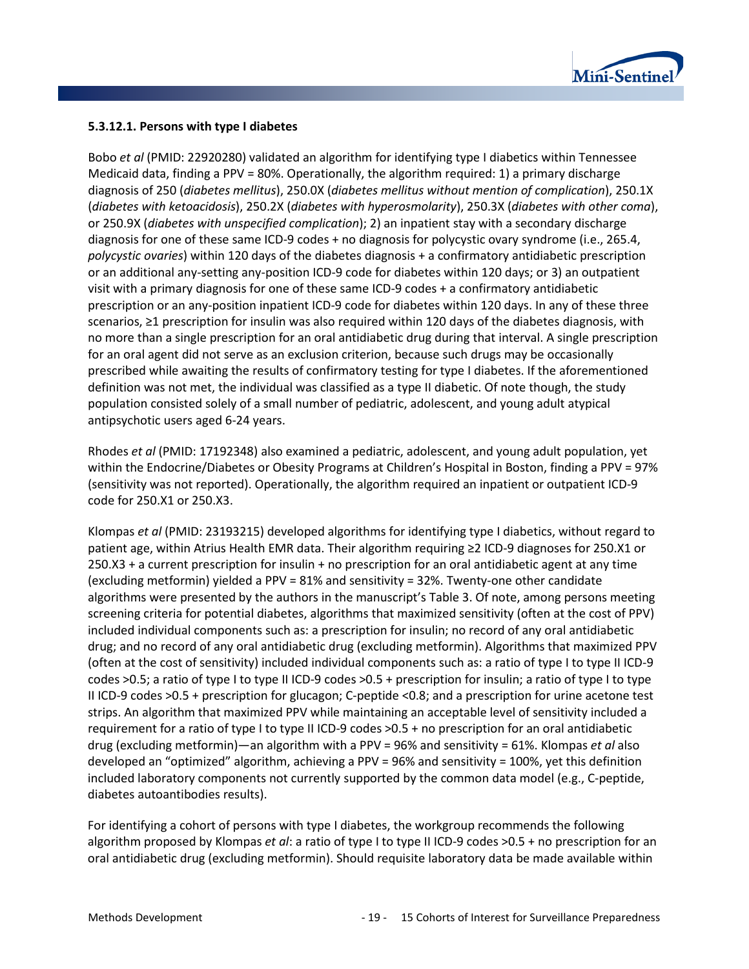

#### **5.3.12.1. Persons with type I diabetes**

Bobo *et al* (PMID: 22920280) validated an algorithm for identifying type I diabetics within Tennessee Medicaid data, finding a PPV = 80%. Operationally, the algorithm required: 1) a primary discharge diagnosis of 250 (*diabetes mellitus*), 250.0X (*diabetes mellitus without mention of complication*), 250.1X (*diabetes with ketoacidosis*), 250.2X (*diabetes with hyperosmolarity*), 250.3X (*diabetes with other coma*), or 250.9X (*diabetes with unspecified complication*); 2) an inpatient stay with a secondary discharge diagnosis for one of these same ICD-9 codes + no diagnosis for polycystic ovary syndrome (i.e., 265.4, *polycystic ovaries*) within 120 days of the diabetes diagnosis + a confirmatory antidiabetic prescription or an additional any-setting any-position ICD-9 code for diabetes within 120 days; or 3) an outpatient visit with a primary diagnosis for one of these same ICD-9 codes + a confirmatory antidiabetic prescription or an any-position inpatient ICD-9 code for diabetes within 120 days. In any of these three scenarios, ≥1 prescription for insulin was also required within 120 days of the diabetes diagnosis, with no more than a single prescription for an oral antidiabetic drug during that interval. A single prescription for an oral agent did not serve as an exclusion criterion, because such drugs may be occasionally prescribed while awaiting the results of confirmatory testing for type I diabetes. If the aforementioned definition was not met, the individual was classified as a type II diabetic. Of note though, the study population consisted solely of a small number of pediatric, adolescent, and young adult atypical antipsychotic users aged 6-24 years.

Rhodes *et al* (PMID: 17192348) also examined a pediatric, adolescent, and young adult population, yet within the Endocrine/Diabetes or Obesity Programs at Children's Hospital in Boston, finding a PPV = 97% (sensitivity was not reported). Operationally, the algorithm required an inpatient or outpatient ICD-9 code for 250.X1 or 250.X3.

Klompas *et al* (PMID: 23193215) developed algorithms for identifying type I diabetics, without regard to patient age, within Atrius Health EMR data. Their algorithm requiring ≥2 ICD-9 diagnoses for 250.X1 or 250.X3 + a current prescription for insulin + no prescription for an oral antidiabetic agent at any time (excluding metformin) yielded a PPV = 81% and sensitivity = 32%. Twenty-one other candidate algorithms were presented by the authors in the manuscript's Table 3. Of note, among persons meeting screening criteria for potential diabetes, algorithms that maximized sensitivity (often at the cost of PPV) included individual components such as: a prescription for insulin; no record of any oral antidiabetic drug; and no record of any oral antidiabetic drug (excluding metformin). Algorithms that maximized PPV (often at the cost of sensitivity) included individual components such as: a ratio of type I to type II ICD-9 codes >0.5; a ratio of type I to type II ICD-9 codes >0.5 + prescription for insulin; a ratio of type I to type II ICD-9 codes >0.5 + prescription for glucagon; C-peptide <0.8; and a prescription for urine acetone test strips. An algorithm that maximized PPV while maintaining an acceptable level of sensitivity included a requirement for a ratio of type I to type II ICD-9 codes >0.5 + no prescription for an oral antidiabetic drug (excluding metformin)—an algorithm with a PPV = 96% and sensitivity = 61%. Klompas *et al* also developed an "optimized" algorithm, achieving a PPV = 96% and sensitivity = 100%, yet this definition included laboratory components not currently supported by the common data model (e.g., C-peptide, diabetes autoantibodies results).

For identifying a cohort of persons with type I diabetes, the workgroup recommends the following algorithm proposed by Klompas *et al*: a ratio of type I to type II ICD-9 codes >0.5 + no prescription for an oral antidiabetic drug (excluding metformin). Should requisite laboratory data be made available within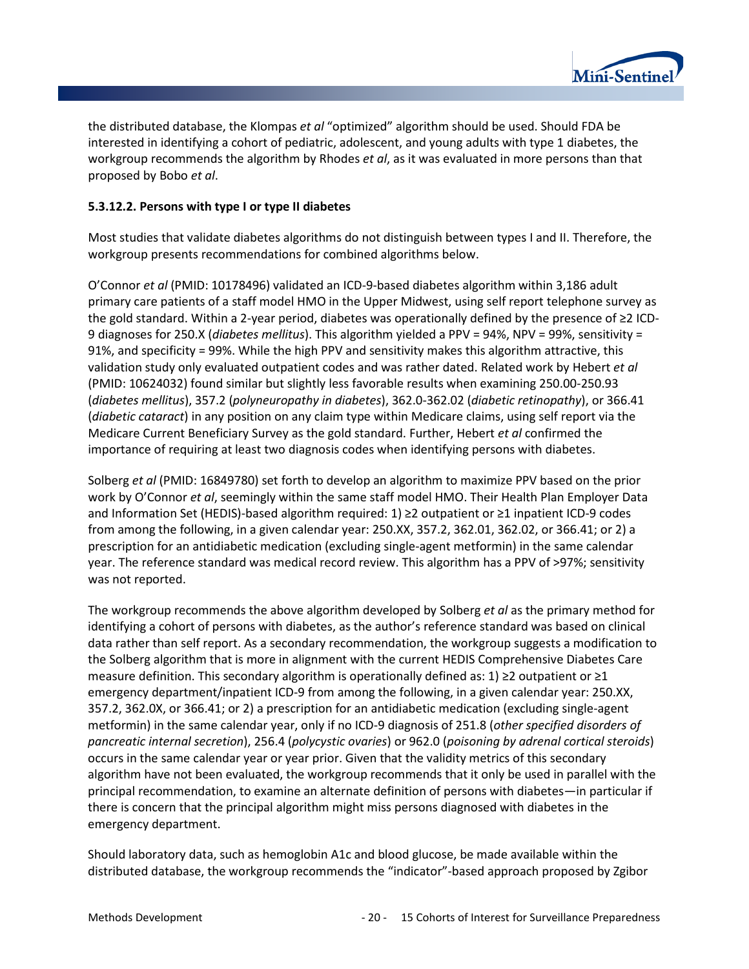

the distributed database, the Klompas *et al* "optimized" algorithm should be used. Should FDA be interested in identifying a cohort of pediatric, adolescent, and young adults with type 1 diabetes, the workgroup recommends the algorithm by Rhodes *et al*, as it was evaluated in more persons than that proposed by Bobo *et al*.

#### **5.3.12.2. Persons with type I or type II diabetes**

Most studies that validate diabetes algorithms do not distinguish between types I and II. Therefore, the workgroup presents recommendations for combined algorithms below.

O'Connor *et al* (PMID: 10178496) validated an ICD-9-based diabetes algorithm within 3,186 adult primary care patients of a staff model HMO in the Upper Midwest, using self report telephone survey as the gold standard. Within a 2-year period, diabetes was operationally defined by the presence of ≥2 ICD-9 diagnoses for 250.X (*diabetes mellitus*). This algorithm yielded a PPV = 94%, NPV = 99%, sensitivity = 91%, and specificity = 99%. While the high PPV and sensitivity makes this algorithm attractive, this validation study only evaluated outpatient codes and was rather dated. Related work by Hebert *et al* (PMID: 10624032) found similar but slightly less favorable results when examining 250.00-250.93 (*diabetes mellitus*), 357.2 (*polyneuropathy in diabetes*), 362.0-362.02 (*diabetic retinopathy*), or 366.41 (*diabetic cataract*) in any position on any claim type within Medicare claims, using self report via the Medicare Current Beneficiary Survey as the gold standard. Further, Hebert *et al* confirmed the importance of requiring at least two diagnosis codes when identifying persons with diabetes.

Solberg *et al* (PMID: 16849780) set forth to develop an algorithm to maximize PPV based on the prior work by O'Connor *et al*, seemingly within the same staff model HMO. Their Health Plan Employer Data and Information Set (HEDIS)-based algorithm required: 1) ≥2 outpatient or ≥1 inpatient ICD-9 codes from among the following, in a given calendar year: 250.XX, 357.2, 362.01, 362.02, or 366.41; or 2) a prescription for an antidiabetic medication (excluding single-agent metformin) in the same calendar year. The reference standard was medical record review. This algorithm has a PPV of >97%; sensitivity was not reported.

The workgroup recommends the above algorithm developed by Solberg *et al* as the primary method for identifying a cohort of persons with diabetes, as the author's reference standard was based on clinical data rather than self report. As a secondary recommendation, the workgroup suggests a modification to the Solberg algorithm that is more in alignment with the current HEDIS Comprehensive Diabetes Care measure definition. This secondary algorithm is operationally defined as: 1) ≥2 outpatient or ≥1 emergency department/inpatient ICD-9 from among the following, in a given calendar year: 250.XX, 357.2, 362.0X, or 366.41; or 2) a prescription for an antidiabetic medication (excluding single-agent metformin) in the same calendar year, only if no ICD-9 diagnosis of 251.8 (*other specified disorders of pancreatic internal secretion*), 256.4 (*polycystic ovaries*) or 962.0 (*poisoning by adrenal cortical steroids*) occurs in the same calendar year or year prior. Given that the validity metrics of this secondary algorithm have not been evaluated, the workgroup recommends that it only be used in parallel with the principal recommendation, to examine an alternate definition of persons with diabetes—in particular if there is concern that the principal algorithm might miss persons diagnosed with diabetes in the emergency department.

Should laboratory data, such as hemoglobin A1c and blood glucose, be made available within the distributed database, the workgroup recommends the "indicator"-based approach proposed by Zgibor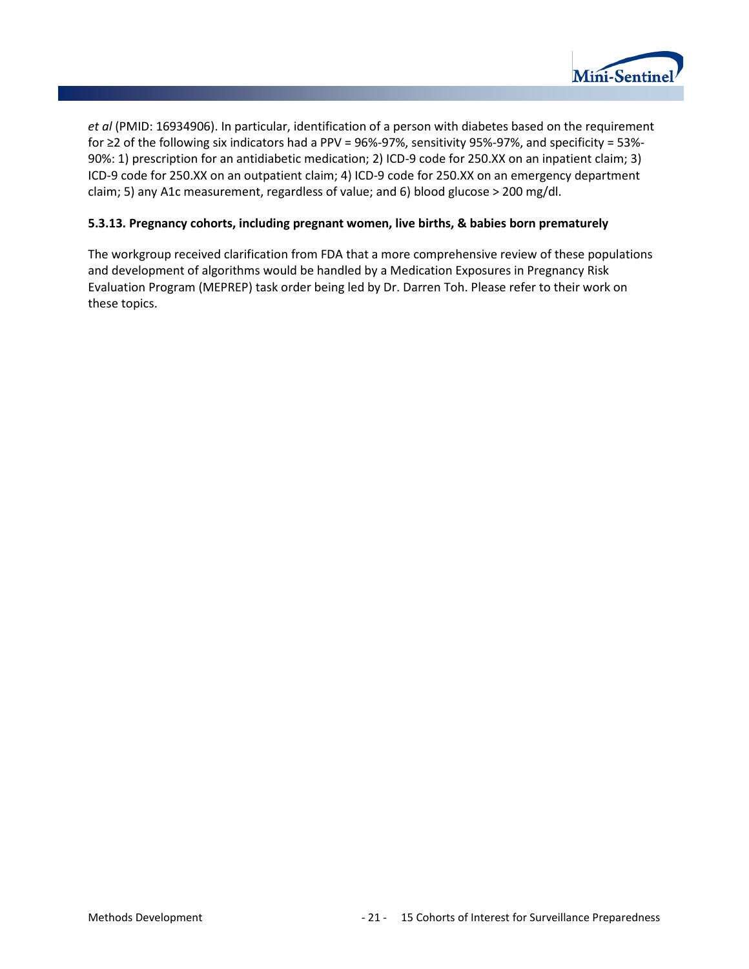

*et al* (PMID: 16934906). In particular, identification of a person with diabetes based on the requirement for ≥2 of the following six indicators had a PPV = 96%-97%, sensitivity 95%-97%, and specificity = 53%- 90%: 1) prescription for an antidiabetic medication; 2) ICD-9 code for 250.XX on an inpatient claim; 3) ICD-9 code for 250.XX on an outpatient claim; 4) ICD-9 code for 250.XX on an emergency department claim; 5) any A1c measurement, regardless of value; and 6) blood glucose > 200 mg/dl.

#### **5.3.13. Pregnancy cohorts, including pregnant women, live births, & babies born prematurely**

The workgroup received clarification from FDA that a more comprehensive review of these populations and development of algorithms would be handled by a Medication Exposures in Pregnancy Risk Evaluation Program (MEPREP) task order being led by Dr. Darren Toh. Please refer to their work on these topics.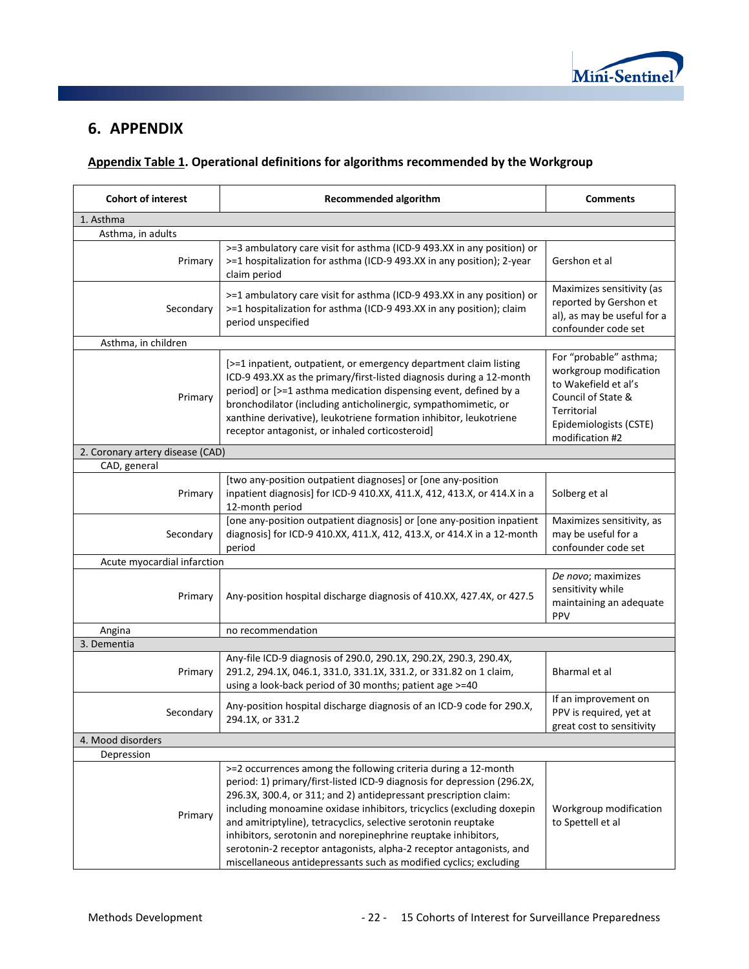

### **6. APPENDIX**

### **Appendix Table 1. Operational definitions for algorithms recommended by the Workgroup**

| <b>Cohort of interest</b>        | <b>Recommended algorithm</b>                                                                                                                                                                                                                                                                                                                                                                                                                                                                                                                                          |                                                                                                                                                            |  |  |
|----------------------------------|-----------------------------------------------------------------------------------------------------------------------------------------------------------------------------------------------------------------------------------------------------------------------------------------------------------------------------------------------------------------------------------------------------------------------------------------------------------------------------------------------------------------------------------------------------------------------|------------------------------------------------------------------------------------------------------------------------------------------------------------|--|--|
| 1. Asthma                        |                                                                                                                                                                                                                                                                                                                                                                                                                                                                                                                                                                       |                                                                                                                                                            |  |  |
| Asthma, in adults                |                                                                                                                                                                                                                                                                                                                                                                                                                                                                                                                                                                       |                                                                                                                                                            |  |  |
| Primary                          | >=3 ambulatory care visit for asthma (ICD-9 493.XX in any position) or<br>>=1 hospitalization for asthma (ICD-9 493.XX in any position); 2-year<br>claim period                                                                                                                                                                                                                                                                                                                                                                                                       | Gershon et al                                                                                                                                              |  |  |
| Secondary                        | >=1 ambulatory care visit for asthma (ICD-9 493.XX in any position) or<br>>=1 hospitalization for asthma (ICD-9 493.XX in any position); claim<br>period unspecified                                                                                                                                                                                                                                                                                                                                                                                                  | Maximizes sensitivity (as<br>reported by Gershon et<br>al), as may be useful for a<br>confounder code set                                                  |  |  |
| Asthma, in children              |                                                                                                                                                                                                                                                                                                                                                                                                                                                                                                                                                                       |                                                                                                                                                            |  |  |
| Primary                          | [>=1 inpatient, outpatient, or emergency department claim listing<br>ICD-9 493.XX as the primary/first-listed diagnosis during a 12-month<br>period] or [>=1 asthma medication dispensing event, defined by a<br>bronchodilator (including anticholinergic, sympathomimetic, or<br>xanthine derivative), leukotriene formation inhibitor, leukotriene<br>receptor antagonist, or inhaled corticosteroid]                                                                                                                                                              | For "probable" asthma;<br>workgroup modification<br>to Wakefield et al's<br>Council of State &<br>Territorial<br>Epidemiologists (CSTE)<br>modification #2 |  |  |
| 2. Coronary artery disease (CAD) |                                                                                                                                                                                                                                                                                                                                                                                                                                                                                                                                                                       |                                                                                                                                                            |  |  |
| CAD, general                     |                                                                                                                                                                                                                                                                                                                                                                                                                                                                                                                                                                       |                                                                                                                                                            |  |  |
| Primary                          | [two any-position outpatient diagnoses] or [one any-position<br>inpatient diagnosis] for ICD-9 410.XX, 411.X, 412, 413.X, or 414.X in a<br>12-month period                                                                                                                                                                                                                                                                                                                                                                                                            | Solberg et al                                                                                                                                              |  |  |
| Secondary                        | [one any-position outpatient diagnosis] or [one any-position inpatient<br>diagnosis] for ICD-9 410.XX, 411.X, 412, 413.X, or 414.X in a 12-month<br>period                                                                                                                                                                                                                                                                                                                                                                                                            | Maximizes sensitivity, as<br>may be useful for a<br>confounder code set                                                                                    |  |  |
| Acute myocardial infarction      |                                                                                                                                                                                                                                                                                                                                                                                                                                                                                                                                                                       |                                                                                                                                                            |  |  |
| Primary                          | Any-position hospital discharge diagnosis of 410.XX, 427.4X, or 427.5                                                                                                                                                                                                                                                                                                                                                                                                                                                                                                 | De novo; maximizes<br>sensitivity while<br>maintaining an adequate<br>PPV                                                                                  |  |  |
| Angina                           | no recommendation                                                                                                                                                                                                                                                                                                                                                                                                                                                                                                                                                     |                                                                                                                                                            |  |  |
| 3. Dementia                      |                                                                                                                                                                                                                                                                                                                                                                                                                                                                                                                                                                       |                                                                                                                                                            |  |  |
| Primary                          | Any-file ICD-9 diagnosis of 290.0, 290.1X, 290.2X, 290.3, 290.4X,<br>291.2, 294.1X, 046.1, 331.0, 331.1X, 331.2, or 331.82 on 1 claim,<br>using a look-back period of 30 months; patient age >=40                                                                                                                                                                                                                                                                                                                                                                     | Bharmal et al                                                                                                                                              |  |  |
| Secondary                        | Any-position hospital discharge diagnosis of an ICD-9 code for 290.X,<br>294.1X, or 331.2                                                                                                                                                                                                                                                                                                                                                                                                                                                                             | If an improvement on<br>PPV is required, yet at<br>great cost to sensitivity                                                                               |  |  |
| 4. Mood disorders                |                                                                                                                                                                                                                                                                                                                                                                                                                                                                                                                                                                       |                                                                                                                                                            |  |  |
| Depression                       |                                                                                                                                                                                                                                                                                                                                                                                                                                                                                                                                                                       |                                                                                                                                                            |  |  |
| Primary                          | >=2 occurrences among the following criteria during a 12-month<br>period: 1) primary/first-listed ICD-9 diagnosis for depression (296.2X,<br>296.3X, 300.4, or 311; and 2) antidepressant prescription claim:<br>including monoamine oxidase inhibitors, tricyclics (excluding doxepin<br>and amitriptyline), tetracyclics, selective serotonin reuptake<br>inhibitors, serotonin and norepinephrine reuptake inhibitors,<br>serotonin-2 receptor antagonists, alpha-2 receptor antagonists, and<br>miscellaneous antidepressants such as modified cyclics; excluding | Workgroup modification<br>to Spettell et al                                                                                                                |  |  |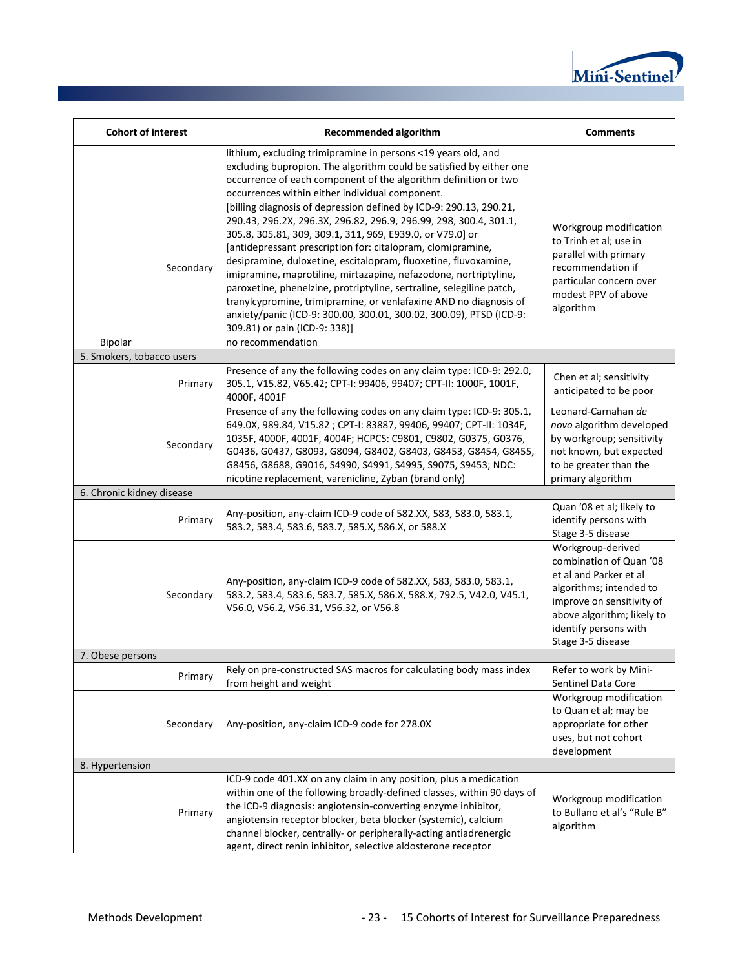

| <b>Cohort of interest</b> | <b>Recommended algorithm</b>                                                                                                                                                                                                                                                                                                                                                                                                                                                                                                                                                                                                                                    | <b>Comments</b>                                                                                                                                                                                            |
|---------------------------|-----------------------------------------------------------------------------------------------------------------------------------------------------------------------------------------------------------------------------------------------------------------------------------------------------------------------------------------------------------------------------------------------------------------------------------------------------------------------------------------------------------------------------------------------------------------------------------------------------------------------------------------------------------------|------------------------------------------------------------------------------------------------------------------------------------------------------------------------------------------------------------|
|                           | lithium, excluding trimipramine in persons <19 years old, and<br>excluding bupropion. The algorithm could be satisfied by either one<br>occurrence of each component of the algorithm definition or two<br>occurrences within either individual component.                                                                                                                                                                                                                                                                                                                                                                                                      |                                                                                                                                                                                                            |
| Secondary                 | [billing diagnosis of depression defined by ICD-9: 290.13, 290.21,<br>290.43, 296.2X, 296.3X, 296.82, 296.9, 296.99, 298, 300.4, 301.1,<br>305.8, 305.81, 309, 309.1, 311, 969, E939.0, or V79.0] or<br>[antidepressant prescription for: citalopram, clomipramine,<br>desipramine, duloxetine, escitalopram, fluoxetine, fluvoxamine,<br>imipramine, maprotiline, mirtazapine, nefazodone, nortriptyline,<br>paroxetine, phenelzine, protriptyline, sertraline, selegiline patch,<br>tranylcypromine, trimipramine, or venlafaxine AND no diagnosis of<br>anxiety/panic (ICD-9: 300.00, 300.01, 300.02, 300.09), PTSD (ICD-9:<br>309.81) or pain (ICD-9: 338)] | Workgroup modification<br>to Trinh et al; use in<br>parallel with primary<br>recommendation if<br>particular concern over<br>modest PPV of above<br>algorithm                                              |
| Bipolar                   | no recommendation                                                                                                                                                                                                                                                                                                                                                                                                                                                                                                                                                                                                                                               |                                                                                                                                                                                                            |
| 5. Smokers, tobacco users |                                                                                                                                                                                                                                                                                                                                                                                                                                                                                                                                                                                                                                                                 |                                                                                                                                                                                                            |
| Primary                   | Presence of any the following codes on any claim type: ICD-9: 292.0,<br>305.1, V15.82, V65.42; CPT-I: 99406, 99407; CPT-II: 1000F, 1001F,<br>4000F, 4001F                                                                                                                                                                                                                                                                                                                                                                                                                                                                                                       | Chen et al; sensitivity<br>anticipated to be poor                                                                                                                                                          |
| Secondary                 | Presence of any the following codes on any claim type: ICD-9: 305.1,<br>649.0X, 989.84, V15.82; CPT-I: 83887, 99406, 99407; CPT-II: 1034F,<br>1035F, 4000F, 4001F, 4004F; HCPCS: C9801, C9802, G0375, G0376,<br>G0436, G0437, G8093, G8094, G8402, G8403, G8453, G8454, G8455,<br>G8456, G8688, G9016, S4990, S4991, S4995, S9075, S9453; NDC:<br>nicotine replacement, varenicline, Zyban (brand only)                                                                                                                                                                                                                                                         | Leonard-Carnahan de<br>novo algorithm developed<br>by workgroup; sensitivity<br>not known, but expected<br>to be greater than the<br>primary algorithm                                                     |
| 6. Chronic kidney disease |                                                                                                                                                                                                                                                                                                                                                                                                                                                                                                                                                                                                                                                                 |                                                                                                                                                                                                            |
| Primary                   | Any-position, any-claim ICD-9 code of 582.XX, 583, 583.0, 583.1,<br>583.2, 583.4, 583.6, 583.7, 585.X, 586.X, or 588.X                                                                                                                                                                                                                                                                                                                                                                                                                                                                                                                                          | Quan '08 et al; likely to<br>identify persons with<br>Stage 3-5 disease                                                                                                                                    |
| Secondary                 | Any-position, any-claim ICD-9 code of 582.XX, 583, 583.0, 583.1,<br>583.2, 583.4, 583.6, 583.7, 585.X, 586.X, 588.X, 792.5, V42.0, V45.1,<br>V56.0, V56.2, V56.31, V56.32, or V56.8                                                                                                                                                                                                                                                                                                                                                                                                                                                                             | Workgroup-derived<br>combination of Quan '08<br>et al and Parker et al<br>algorithms; intended to<br>improve on sensitivity of<br>above algorithm; likely to<br>identify persons with<br>Stage 3-5 disease |
| 7. Obese persons          |                                                                                                                                                                                                                                                                                                                                                                                                                                                                                                                                                                                                                                                                 |                                                                                                                                                                                                            |
| Primary                   | Rely on pre-constructed SAS macros for calculating body mass index<br>from height and weight                                                                                                                                                                                                                                                                                                                                                                                                                                                                                                                                                                    | Refer to work by Mini-<br>Sentinel Data Core                                                                                                                                                               |
| Secondary                 | Any-position, any-claim ICD-9 code for 278.0X                                                                                                                                                                                                                                                                                                                                                                                                                                                                                                                                                                                                                   | Workgroup modification<br>to Quan et al; may be<br>appropriate for other<br>uses, but not cohort<br>development                                                                                            |
| 8. Hypertension           |                                                                                                                                                                                                                                                                                                                                                                                                                                                                                                                                                                                                                                                                 |                                                                                                                                                                                                            |
| Primary                   | ICD-9 code 401.XX on any claim in any position, plus a medication<br>within one of the following broadly-defined classes, within 90 days of<br>the ICD-9 diagnosis: angiotensin-converting enzyme inhibitor,<br>angiotensin receptor blocker, beta blocker (systemic), calcium<br>channel blocker, centrally- or peripherally-acting antiadrenergic<br>agent, direct renin inhibitor, selective aldosterone receptor                                                                                                                                                                                                                                            | Workgroup modification<br>to Bullano et al's "Rule B"<br>algorithm                                                                                                                                         |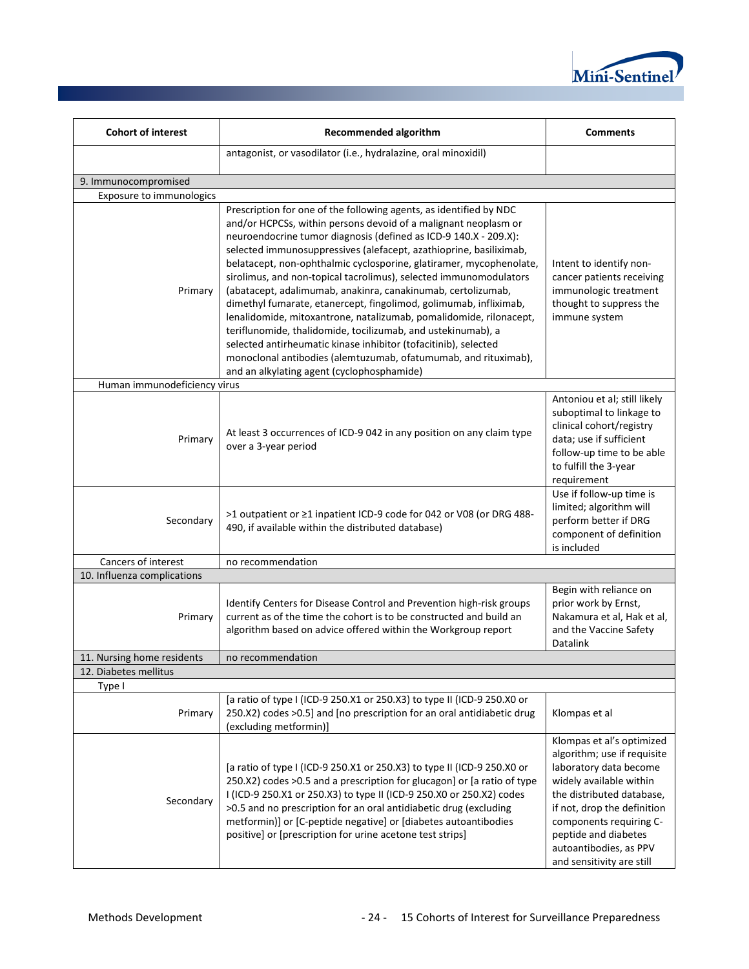

| <b>Cohort of interest</b>    | <b>Recommended algorithm</b>                                                                                                                                                                                                                                                                                                                                                                                                                                                                                                                                                                                                                                                                                                                                                                                                                                                               |                                                                                                                                                                                                                                                                                     |  |  |  |
|------------------------------|--------------------------------------------------------------------------------------------------------------------------------------------------------------------------------------------------------------------------------------------------------------------------------------------------------------------------------------------------------------------------------------------------------------------------------------------------------------------------------------------------------------------------------------------------------------------------------------------------------------------------------------------------------------------------------------------------------------------------------------------------------------------------------------------------------------------------------------------------------------------------------------------|-------------------------------------------------------------------------------------------------------------------------------------------------------------------------------------------------------------------------------------------------------------------------------------|--|--|--|
|                              | antagonist, or vasodilator (i.e., hydralazine, oral minoxidil)                                                                                                                                                                                                                                                                                                                                                                                                                                                                                                                                                                                                                                                                                                                                                                                                                             |                                                                                                                                                                                                                                                                                     |  |  |  |
| 9. Immunocompromised         |                                                                                                                                                                                                                                                                                                                                                                                                                                                                                                                                                                                                                                                                                                                                                                                                                                                                                            |                                                                                                                                                                                                                                                                                     |  |  |  |
| Exposure to immunologics     |                                                                                                                                                                                                                                                                                                                                                                                                                                                                                                                                                                                                                                                                                                                                                                                                                                                                                            |                                                                                                                                                                                                                                                                                     |  |  |  |
| Primary                      | Prescription for one of the following agents, as identified by NDC<br>and/or HCPCSs, within persons devoid of a malignant neoplasm or<br>neuroendocrine tumor diagnosis (defined as ICD-9 140.X - 209.X):<br>selected immunosuppressives (alefacept, azathioprine, basiliximab,<br>belatacept, non-ophthalmic cyclosporine, glatiramer, mycophenolate,<br>sirolimus, and non-topical tacrolimus), selected immunomodulators<br>(abatacept, adalimumab, anakinra, canakinumab, certolizumab,<br>dimethyl fumarate, etanercept, fingolimod, golimumab, infliximab,<br>lenalidomide, mitoxantrone, natalizumab, pomalidomide, rilonacept,<br>teriflunomide, thalidomide, tocilizumab, and ustekinumab), a<br>selected antirheumatic kinase inhibitor (tofacitinib), selected<br>monoclonal antibodies (alemtuzumab, ofatumumab, and rituximab),<br>and an alkylating agent (cyclophosphamide) | Intent to identify non-<br>cancer patients receiving<br>immunologic treatment<br>thought to suppress the<br>immune system                                                                                                                                                           |  |  |  |
| Human immunodeficiency virus |                                                                                                                                                                                                                                                                                                                                                                                                                                                                                                                                                                                                                                                                                                                                                                                                                                                                                            |                                                                                                                                                                                                                                                                                     |  |  |  |
| Primary                      | At least 3 occurrences of ICD-9 042 in any position on any claim type<br>over a 3-year period                                                                                                                                                                                                                                                                                                                                                                                                                                                                                                                                                                                                                                                                                                                                                                                              | Antoniou et al; still likely<br>suboptimal to linkage to<br>clinical cohort/registry<br>data; use if sufficient<br>follow-up time to be able<br>to fulfill the 3-year<br>requirement                                                                                                |  |  |  |
| Secondary                    | >1 outpatient or ≥1 inpatient ICD-9 code for 042 or V08 (or DRG 488-<br>490, if available within the distributed database)                                                                                                                                                                                                                                                                                                                                                                                                                                                                                                                                                                                                                                                                                                                                                                 | Use if follow-up time is<br>limited; algorithm will<br>perform better if DRG<br>component of definition<br>is included                                                                                                                                                              |  |  |  |
| Cancers of interest          | no recommendation                                                                                                                                                                                                                                                                                                                                                                                                                                                                                                                                                                                                                                                                                                                                                                                                                                                                          |                                                                                                                                                                                                                                                                                     |  |  |  |
| 10. Influenza complications  |                                                                                                                                                                                                                                                                                                                                                                                                                                                                                                                                                                                                                                                                                                                                                                                                                                                                                            |                                                                                                                                                                                                                                                                                     |  |  |  |
| Primary                      | Identify Centers for Disease Control and Prevention high-risk groups<br>current as of the time the cohort is to be constructed and build an<br>algorithm based on advice offered within the Workgroup report                                                                                                                                                                                                                                                                                                                                                                                                                                                                                                                                                                                                                                                                               | Begin with reliance on<br>prior work by Ernst,<br>Nakamura et al, Hak et al,<br>and the Vaccine Safety<br>Datalink                                                                                                                                                                  |  |  |  |
| 11. Nursing home residents   | no recommendation                                                                                                                                                                                                                                                                                                                                                                                                                                                                                                                                                                                                                                                                                                                                                                                                                                                                          |                                                                                                                                                                                                                                                                                     |  |  |  |
| 12. Diabetes mellitus        |                                                                                                                                                                                                                                                                                                                                                                                                                                                                                                                                                                                                                                                                                                                                                                                                                                                                                            |                                                                                                                                                                                                                                                                                     |  |  |  |
| Type I<br>Primary            | [a ratio of type I (ICD-9 250.X1 or 250.X3) to type II (ICD-9 250.X0 or<br>250.X2) codes >0.5] and [no prescription for an oral antidiabetic drug<br>(excluding metformin)]                                                                                                                                                                                                                                                                                                                                                                                                                                                                                                                                                                                                                                                                                                                | Klompas et al                                                                                                                                                                                                                                                                       |  |  |  |
| Secondary                    | [a ratio of type I (ICD-9 250.X1 or 250.X3) to type II (ICD-9 250.X0 or<br>250.X2) codes >0.5 and a prescription for glucagon] or [a ratio of type<br>I (ICD-9 250.X1 or 250.X3) to type II (ICD-9 250.X0 or 250.X2) codes<br>>0.5 and no prescription for an oral antidiabetic drug (excluding<br>metformin)] or [C-peptide negative] or [diabetes autoantibodies<br>positive] or [prescription for urine acetone test strips]                                                                                                                                                                                                                                                                                                                                                                                                                                                            | Klompas et al's optimized<br>algorithm; use if requisite<br>laboratory data become<br>widely available within<br>the distributed database,<br>if not, drop the definition<br>components requiring C-<br>peptide and diabetes<br>autoantibodies, as PPV<br>and sensitivity are still |  |  |  |